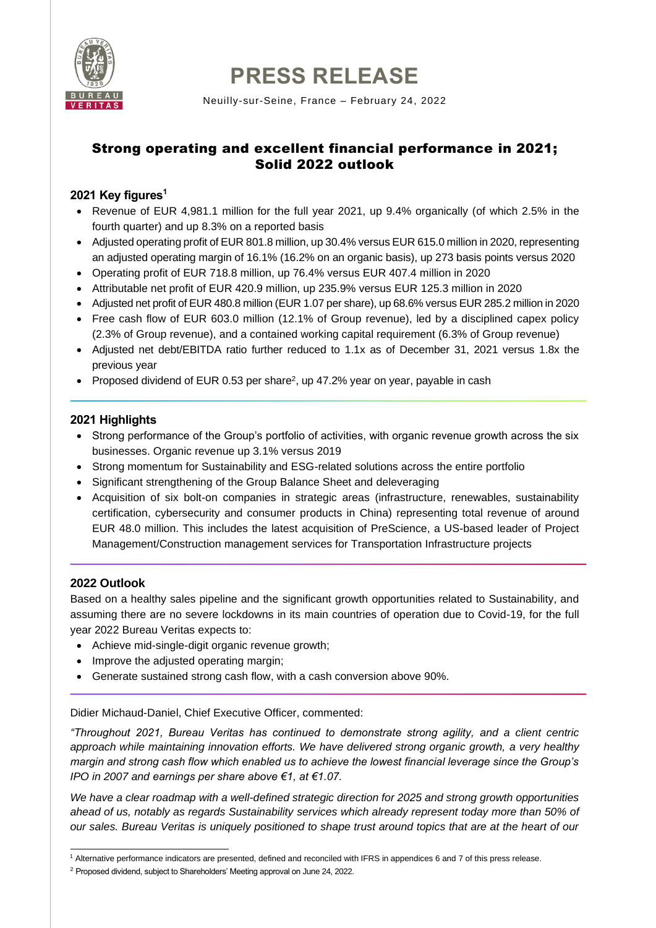

# **PRESS RELEASE**

Neuilly-sur-Seine, France – February 24, 2022

# Strong operating and excellent financial performance in 2021; Solid 2022 outlook

# **2021 Key figures<sup>1</sup>**

- Revenue of EUR 4,981.1 million for the full year 2021, up 9.4% organically (of which 2.5% in the fourth quarter) and up 8.3% on a reported basis
- Adjusted operating profit of EUR 801.8 million, up 30.4% versus EUR 615.0 million in 2020, representing an adjusted operating margin of 16.1% (16.2% on an organic basis), up 273 basis points versus 2020
- Operating profit of EUR 718.8 million, up 76.4% versus EUR 407.4 million in 2020
- Attributable net profit of EUR 420.9 million, up 235.9% versus EUR 125.3 million in 2020
- Adjusted net profit of EUR 480.8 million (EUR 1.07 per share), up 68.6% versus EUR 285.2 million in 2020
- Free cash flow of EUR 603.0 million (12.1% of Group revenue), led by a disciplined capex policy (2.3% of Group revenue), and a contained working capital requirement (6.3% of Group revenue)
- Adjusted net debt/EBITDA ratio further reduced to 1.1x as of December 31, 2021 versus 1.8x the previous year
- Proposed dividend of EUR 0.53 per share<sup>2</sup>, up 47.2% year on year, payable in cash

# **2021 Highlights**

- Strong performance of the Group's portfolio of activities, with organic revenue growth across the six businesses. Organic revenue up 3.1% versus 2019
- Strong momentum for Sustainability and ESG-related solutions across the entire portfolio
- Significant strengthening of the Group Balance Sheet and deleveraging
- Acquisition of six bolt-on companies in strategic areas (infrastructure, renewables, sustainability certification, cybersecurity and consumer products in China) representing total revenue of around EUR 48.0 million. This includes the latest acquisition of PreScience, a US-based leader of Project Management/Construction management services for Transportation Infrastructure projects

# **2022 Outlook**

Based on a healthy sales pipeline and the significant growth opportunities related to Sustainability, and assuming there are no severe lockdowns in its main countries of operation due to Covid-19, for the full year 2022 Bureau Veritas expects to:

- Achieve mid-single-digit organic revenue growth;
- Improve the adjusted operating margin;
- Generate sustained strong cash flow, with a cash conversion above 90%.

Didier Michaud-Daniel, Chief Executive Officer, commented:

*"Throughout 2021, Bureau Veritas has continued to demonstrate strong agility, and a client centric approach while maintaining innovation efforts. We have delivered strong organic growth, a very healthy margin and strong cash flow which enabled us to achieve the lowest financial leverage since the Group's IPO in 2007 and earnings per share above €1, at €1.07.* 

*We have a clear roadmap with a well-defined strategic direction for 2025 and strong growth opportunities ahead of us, notably as regards Sustainability services which already represent today more than 50% of our sales. Bureau Veritas is uniquely positioned to shape trust around topics that are at the heart of our* 

<sup>1</sup> Alternative performance indicators are presented, defined and reconciled with IFRS in appendices 6 and 7 of this press release.

<sup>2</sup> Proposed dividend, subject to Shareholders' Meeting approval on June 24, 2022.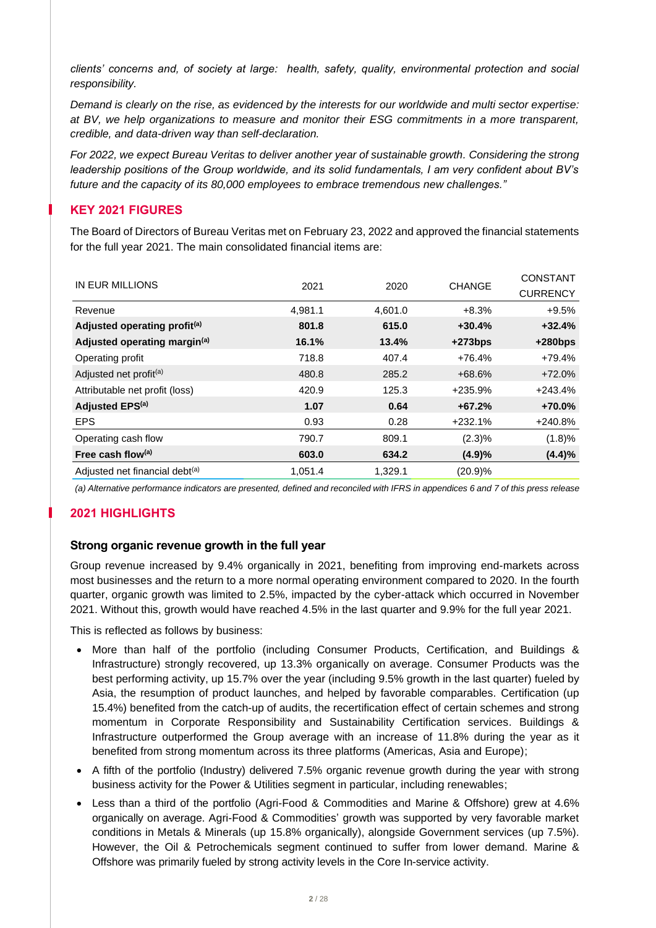*clients' concerns and, of society at large: health, safety, quality, environmental protection and social responsibility.* 

*Demand is clearly on the rise, as evidenced by the interests for our worldwide and multi sector expertise: at BV, we help organizations to measure and monitor their ESG commitments in a more transparent, credible, and data-driven way than self-declaration.*

*For 2022, we expect Bureau Veritas to deliver another year of sustainable growth. Considering the strong leadership positions of the Group worldwide, and its solid fundamentals, I am very confident about BV's future and the capacity of its 80,000 employees to embrace tremendous new challenges."*

# **KEY 2021 FIGURES**

The Board of Directors of Bureau Veritas met on February 23, 2022 and approved the financial statements for the full year 2021. The main consolidated financial items are:

|         |         |            | <b>CONSTANT</b> |
|---------|---------|------------|-----------------|
|         |         |            | <b>CURRENCY</b> |
| 4.981.1 | 4,601.0 | $+8.3%$    | $+9.5%$         |
| 801.8   | 615.0   | $+30.4%$   | $+32.4%$        |
| 16.1%   | 13.4%   | $+273$ bps | $+280bps$       |
| 718.8   | 407.4   | $+76.4%$   | $+79.4%$        |
| 480.8   | 285.2   | $+68.6%$   | $+72.0%$        |
| 420.9   | 125.3   | +235.9%    | $+243.4%$       |
| 1.07    | 0.64    | $+67.2%$   | $+70.0%$        |
| 0.93    | 0.28    | $+232.1%$  | $+240.8%$       |
| 790.7   | 809.1   | (2.3)%     | (1.8)%          |
| 603.0   | 634.2   | (4.9)%     | (4.4)%          |
| 1,051.4 | 1,329.1 | (20.9)%    |                 |
|         | 2021    | 2020       | <b>CHANGE</b>   |

*(a) Alternative performance indicators are presented, defined and reconciled with IFRS in appendices 6 and 7 of this press release*

# **2021 HIGHLIGHTS**

#### **Strong organic revenue growth in the full year**

Group revenue increased by 9.4% organically in 2021, benefiting from improving end-markets across most businesses and the return to a more normal operating environment compared to 2020. In the fourth quarter, organic growth was limited to 2.5%, impacted by the cyber-attack which occurred in November 2021. Without this, growth would have reached 4.5% in the last quarter and 9.9% for the full year 2021.

This is reflected as follows by business:

- More than half of the portfolio (including Consumer Products, Certification, and Buildings & Infrastructure) strongly recovered, up 13.3% organically on average. Consumer Products was the best performing activity, up 15.7% over the year (including 9.5% growth in the last quarter) fueled by Asia, the resumption of product launches, and helped by favorable comparables. Certification (up 15.4%) benefited from the catch-up of audits, the recertification effect of certain schemes and strong momentum in Corporate Responsibility and Sustainability Certification services. Buildings & Infrastructure outperformed the Group average with an increase of 11.8% during the year as it benefited from strong momentum across its three platforms (Americas, Asia and Europe);
- A fifth of the portfolio (Industry) delivered 7.5% organic revenue growth during the year with strong business activity for the Power & Utilities segment in particular, including renewables;
- Less than a third of the portfolio (Agri-Food & Commodities and Marine & Offshore) grew at 4.6% organically on average. Agri-Food & Commodities' growth was supported by very favorable market conditions in Metals & Minerals (up 15.8% organically), alongside Government services (up 7.5%). However, the Oil & Petrochemicals segment continued to suffer from lower demand. Marine & Offshore was primarily fueled by strong activity levels in the Core In-service activity.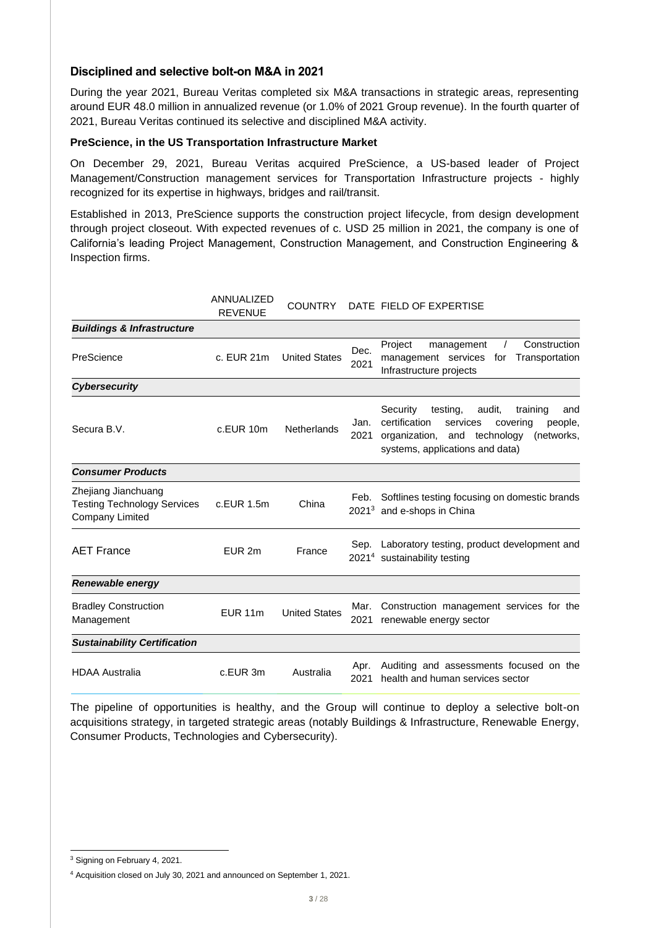# **Disciplined and selective bolt-on M&A in 2021**

During the year 2021, Bureau Veritas completed six M&A transactions in strategic areas, representing around EUR 48.0 million in annualized revenue (or 1.0% of 2021 Group revenue). In the fourth quarter of 2021, Bureau Veritas continued its selective and disciplined M&A activity.

#### **PreScience, in the US Transportation Infrastructure Market**

On December 29, 2021, Bureau Veritas acquired PreScience, a US-based leader of Project Management/Construction management services for Transportation Infrastructure projects - highly recognized for its expertise in highways, bridges and rail/transit.

Established in 2013, PreScience supports the construction project lifecycle, from design development through project closeout. With expected revenues of c. USD 25 million in 2021, the company is one of California's leading Project Management, Construction Management, and Construction Engineering & Inspection firms.

|                                                                                     | ANNUALIZED<br><b>REVENUE</b> | <b>COUNTRY</b>       |              | DATE FIELD OF EXPERTISE                                                                                                                                                                   |
|-------------------------------------------------------------------------------------|------------------------------|----------------------|--------------|-------------------------------------------------------------------------------------------------------------------------------------------------------------------------------------------|
| <b>Buildings &amp; Infrastructure</b>                                               |                              |                      |              |                                                                                                                                                                                           |
| PreScience                                                                          | $c.$ EUR $21m$               | <b>United States</b> | Dec.<br>2021 | Project<br>Construction<br>management<br>management services for<br>Transportation<br>Infrastructure projects                                                                             |
| <b>Cybersecurity</b>                                                                |                              |                      |              |                                                                                                                                                                                           |
| Secura B.V.                                                                         | c.EUR 10m                    | <b>Netherlands</b>   | Jan.<br>2021 | Security<br>testing,<br>audit,<br>training<br>and<br>certification<br>services<br>covering<br>people,<br>technology<br>organization, and<br>(networks,<br>systems, applications and data) |
| <b>Consumer Products</b>                                                            |                              |                      |              |                                                                                                                                                                                           |
| Zhejiang Jianchuang<br><b>Testing Technology Services</b><br><b>Company Limited</b> | $c$ .EUR 1.5m                | China                | Feb.         | Softlines testing focusing on domestic brands<br>$20213$ and e-shops in China                                                                                                             |
| <b>AET France</b>                                                                   | EUR <sub>2m</sub>            | France               |              | Sep. Laboratory testing, product development and<br>2021 <sup>4</sup> sustainability testing                                                                                              |
| Renewable energy                                                                    |                              |                      |              |                                                                                                                                                                                           |
| <b>Bradley Construction</b><br>Management                                           | EUR <sub>11m</sub>           | <b>United States</b> | Mar.<br>2021 | Construction management services for the<br>renewable energy sector                                                                                                                       |
| <b>Sustainability Certification</b>                                                 |                              |                      |              |                                                                                                                                                                                           |
| <b>HDAA Australia</b>                                                               | c.EUR 3m                     | Australia            | Apr.<br>2021 | Auditing and assessments focused on the<br>health and human services sector                                                                                                               |

The pipeline of opportunities is healthy, and the Group will continue to deploy a selective bolt-on acquisitions strategy, in targeted strategic areas (notably Buildings & Infrastructure, Renewable Energy, Consumer Products, Technologies and Cybersecurity).

<sup>3</sup> Signing on February 4, 2021.

<sup>4</sup> Acquisition closed on July 30, 2021 and announced on September 1, 2021.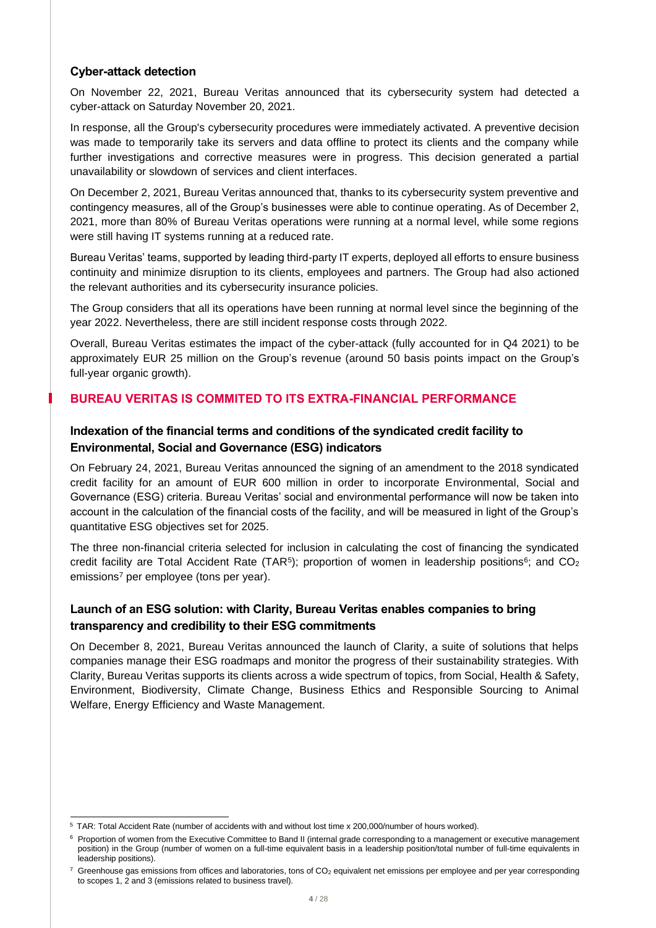# **Cyber-attack detection**

On November 22, 2021, Bureau Veritas announced that its cybersecurity system had detected a cyber-attack on Saturday November 20, 2021.

In response, all the Group's cybersecurity procedures were immediately activated. A preventive decision was made to temporarily take its servers and data offline to protect its clients and the company while further investigations and corrective measures were in progress. This decision generated a partial unavailability or slowdown of services and client interfaces.

On December 2, 2021, Bureau Veritas announced that, thanks to its cybersecurity system preventive and contingency measures, all of the Group's businesses were able to continue operating. As of December 2, 2021, more than 80% of Bureau Veritas operations were running at a normal level, while some regions were still having IT systems running at a reduced rate.

Bureau Veritas' teams, supported by leading third-party IT experts, deployed all efforts to ensure business continuity and minimize disruption to its clients, employees and partners. The Group had also actioned the relevant authorities and its cybersecurity insurance policies.

The Group considers that all its operations have been running at normal level since the beginning of the year 2022. Nevertheless, there are still incident response costs through 2022.

Overall, Bureau Veritas estimates the impact of the cyber-attack (fully accounted for in Q4 2021) to be approximately EUR 25 million on the Group's revenue (around 50 basis points impact on the Group's full-year organic growth).

# **BUREAU VERITAS IS COMMITED TO ITS EXTRA-FINANCIAL PERFORMANCE**

# **Indexation of the financial terms and conditions of the syndicated credit facility to Environmental, Social and Governance (ESG) indicators**

On February 24, 2021, Bureau Veritas announced the signing of an amendment to the 2018 syndicated credit facility for an amount of EUR 600 million in order to incorporate Environmental, Social and Governance (ESG) criteria. Bureau Veritas' social and environmental performance will now be taken into account in the calculation of the financial costs of the facility, and will be measured in light of the Group's quantitative ESG objectives set for 2025.

The three non-financial criteria selected for inclusion in calculating the cost of financing the syndicated credit facility are Total Accident Rate (TAR<sup>5</sup>); proportion of women in leadership positions<sup>6</sup>; and CO<sub>2</sub> emissions<sup>7</sup> per employee (tons per year).

# **Launch of an ESG solution: with Clarity, Bureau Veritas enables companies to bring transparency and credibility to their ESG commitments**

On December 8, 2021, Bureau Veritas announced the launch of Clarity, a suite of solutions that helps companies manage their ESG roadmaps and monitor the progress of their sustainability strategies. With Clarity, Bureau Veritas supports its clients across a wide spectrum of topics, from Social, Health & Safety, Environment, Biodiversity, Climate Change, Business Ethics and Responsible Sourcing to Animal Welfare, Energy Efficiency and Waste Management.

<sup>5</sup> TAR: Total Accident Rate (number of accidents with and without lost time x 200,000/number of hours worked).

<sup>&</sup>lt;sup>6</sup> Proportion of women from the Executive Committee to Band II (internal grade corresponding to a management or executive management position) in the Group (number of women on a full-time equivalent basis in a leadership position/total number of full-time equivalents in leadership positions).

 $7$  Greenhouse gas emissions from offices and laboratories, tons of CO<sub>2</sub> equivalent net emissions per employee and per year corresponding to scopes 1, 2 and 3 (emissions related to business travel).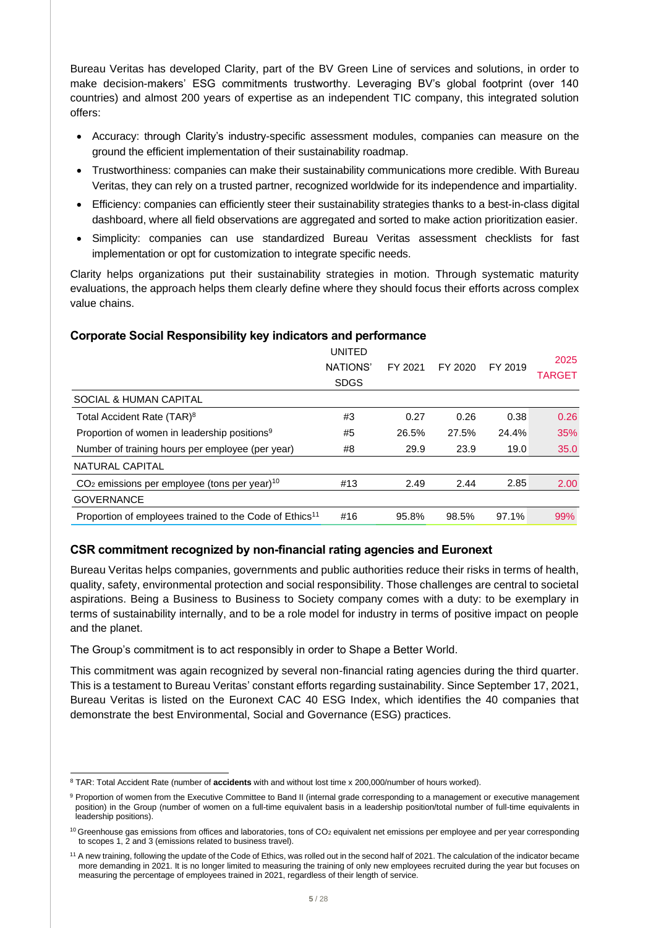Bureau Veritas has developed Clarity, part of the [BV Green Line](https://group.bureauveritas.com/expertise-sustainability) of services and solutions, in order to make decision-makers' ESG commitments trustworthy. Leveraging BV's global footprint (over 140 countries) and almost 200 years of expertise as an independent TIC company, this integrated solution offers:

- Accuracy: through Clarity's industry-specific assessment modules, companies can measure on the ground the efficient implementation of their sustainability roadmap.
- Trustworthiness: companies can make their sustainability communications more credible. With Bureau Veritas, they can rely on a trusted partner, recognized worldwide for its independence and impartiality.
- Efficiency: companies can efficiently steer their sustainability strategies thanks to a best-in-class digital dashboard, where all field observations are aggregated and sorted to make action prioritization easier.
- Simplicity: companies can use standardized Bureau Veritas assessment checklists for fast implementation or opt for customization to integrate specific needs.

Clarity helps organizations put their sustainability strategies in motion. Through systematic maturity evaluations, the approach helps them clearly define where they should focus their efforts across complex value chains.

# **Corporate Social Responsibility key indicators and performance**

|                                                                     | <b>UNITED</b><br>NATIONS'<br><b>SDGS</b> | FY 2021 | FY 2020 | FY 2019 | 2025<br>TARGET |
|---------------------------------------------------------------------|------------------------------------------|---------|---------|---------|----------------|
| SOCIAL & HUMAN CAPITAL                                              |                                          |         |         |         |                |
| Total Accident Rate (TAR) <sup>8</sup>                              | #3                                       | 0.27    | 0.26    | 0.38    | 0.26           |
| Proportion of women in leadership positions <sup>9</sup>            | #5                                       | 26.5%   | 27.5%   | 24.4%   | 35%            |
| Number of training hours per employee (per year)                    | #8                                       | 29.9    | 23.9    | 19.0    | 35.0           |
| NATURAL CAPITAL                                                     |                                          |         |         |         |                |
| $CO2$ emissions per employee (tons per year) <sup>10</sup>          | #13                                      | 2.49    | 2.44    | 2.85    | 2.00           |
| <b>GOVERNANCE</b>                                                   |                                          |         |         |         |                |
| Proportion of employees trained to the Code of Ethics <sup>11</sup> | #16                                      | 95.8%   | 98.5%   | 97.1%   | 99%            |

#### **CSR commitment recognized by non-financial rating agencies and Euronext**

Bureau Veritas helps companies, governments and public authorities reduce their risks in terms of health, quality, safety, environmental protection and social responsibility. Those challenges are central to societal aspirations. Being a Business to Business to Society company comes with a duty: to be exemplary in terms of sustainability internally, and to be a role model for industry in terms of positive impact on people and the planet.

The Group's commitment is to act responsibly in order to Shape a Better World.

This commitment was again recognized by several non-financial rating agencies during the third quarter. This is a testament to Bureau Veritas' constant efforts regarding sustainability. Since September 17, 2021, Bureau Veritas is listed on the Euronext CAC 40 ESG Index, which identifies the 40 companies that demonstrate the best Environmental, Social and Governance (ESG) practices.

<sup>8</sup> TAR: Total Accident Rate (number of **accidents** with and without lost time x 200,000/number of hours worked).

<sup>9</sup> Proportion of women from the Executive Committee to Band II (internal grade corresponding to a management or executive management position) in the Group (number of women on a full-time equivalent basis in a leadership position/total number of full-time equivalents in leadership positions).

 $10$  Greenhouse gas emissions from offices and laboratories, tons of CO<sub>2</sub> equivalent net emissions per employee and per year corresponding to scopes 1, 2 and 3 (emissions related to business travel).

<sup>&</sup>lt;sup>11</sup> A new training, following the update of the Code of Ethics, was rolled out in the second half of 2021. The calculation of the indicator became more demanding in 2021. It is no longer limited to measuring the training of only new employees recruited during the year but focuses on measuring the percentage of employees trained in 2021, regardless of their length of service.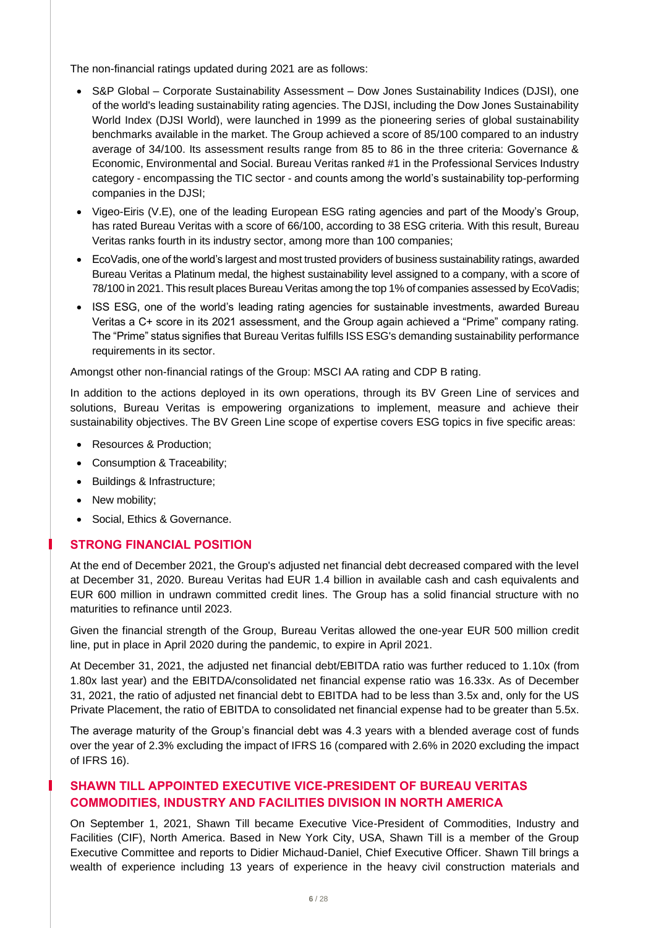The non-financial ratings updated during 2021 are as follows:

- S&P Global Corporate Sustainability Assessment Dow Jones Sustainability Indices (DJSI), one of the world's leading sustainability rating agencies. The DJSI, including the Dow Jones Sustainability World Index (DJSI World), were launched in 1999 as the pioneering series of global sustainability benchmarks available in the market. The Group achieved a score of 85/100 compared to an industry average of 34/100. Its assessment results range from 85 to 86 in the three criteria: Governance & Economic, Environmental and Social. Bureau Veritas ranked #1 in the Professional Services Industry category - encompassing the TIC sector - and counts among the world's sustainability top-performing companies in the DJSI;
- Vigeo-Eiris (V.E), one of the leading European ESG rating agencies and part of the Moody's Group, has rated Bureau Veritas with a score of 66/100, according to 38 ESG criteria. With this result, Bureau Veritas ranks fourth in its industry sector, among more than 100 companies;
- EcoVadis, one of the world's largest and most trusted providers of business sustainability ratings, awarded Bureau Veritas a Platinum medal, the highest sustainability level assigned to a company, with a score of 78/100 in 2021. This result places Bureau Veritas among the top 1% of companies assessed by EcoVadis;
- ISS ESG, one of the world's leading rating agencies for sustainable investments, awarded Bureau Veritas a C+ score in its 2021 assessment, and the Group again achieved a "Prime" company rating. The "Prime" status signifies that Bureau Veritas fulfills ISS ESG's demanding sustainability performance requirements in its sector.

Amongst other non-financial ratings of the Group: MSCI AA rating and CDP B rating.

In addition to the actions deployed in its own operations, through its BV Green Line of services and solutions, Bureau Veritas is empowering organizations to implement, measure and achieve their sustainability objectives. The BV Green Line scope of expertise covers ESG topics in five specific areas:

- Resources & Production;
- Consumption & Traceability;
- Buildings & Infrastructure;
- New mobility;
- Social, Ethics & Governance.

#### **STRONG FINANCIAL POSITION**

At the end of December 2021, the Group's adjusted net financial debt decreased compared with the level at December 31, 2020. Bureau Veritas had EUR 1.4 billion in available cash and cash equivalents and EUR 600 million in undrawn committed credit lines. The Group has a solid financial structure with no maturities to refinance until 2023.

Given the financial strength of the Group, Bureau Veritas allowed the one-year EUR 500 million credit line, put in place in April 2020 during the pandemic, to expire in April 2021.

At December 31, 2021, the adjusted net financial debt/EBITDA ratio was further reduced to 1.10x (from 1.80x last year) and the EBITDA/consolidated net financial expense ratio was 16.33x. As of December 31, 2021, the ratio of adjusted net financial debt to EBITDA had to be less than 3.5x and, only for the US Private Placement, the ratio of EBITDA to consolidated net financial expense had to be greater than 5.5x.

The average maturity of the Group's financial debt was 4.3 years with a blended average cost of funds over the year of 2.3% excluding the impact of IFRS 16 (compared with 2.6% in 2020 excluding the impact of IFRS 16).

# **SHAWN TILL APPOINTED EXECUTIVE VICE-PRESIDENT OF BUREAU VERITAS COMMODITIES, INDUSTRY AND FACILITIES DIVISION IN NORTH AMERICA**

On September 1, 2021, Shawn Till became Executive Vice-President of Commodities, Industry and Facilities (CIF), North America. Based in New York City, USA, Shawn Till is a member of the Group Executive Committee and reports to Didier Michaud-Daniel, Chief Executive Officer. Shawn Till brings a wealth of experience including 13 years of experience in the heavy civil construction materials and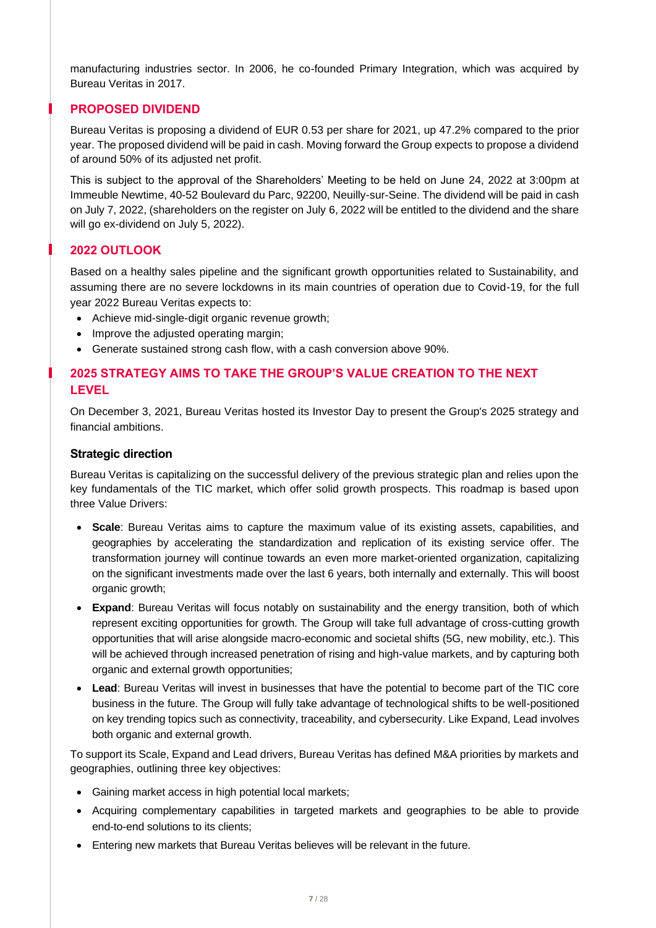manufacturing industries sector. In 2006, he co-founded Primary Integration, which was acquired by Bureau Veritas in 2017.

# **PROPOSED DIVIDEND**

Bureau Veritas is proposing a dividend of EUR 0.53 per share for 2021, up 47.2% compared to the prior year. The proposed dividend will be paid in cash. Moving forward the Group expects to propose a dividend of around 50% of its adjusted net profit.

This is subject to the approval of the Shareholders' Meeting to be held on June 24, 2022 at 3:00pm at Immeuble Newtime, 40-52 Boulevard du Parc, 92200, Neuilly-sur-Seine. The dividend will be paid in cash on July 7, 2022, (shareholders on the register on July 6, 2022 will be entitled to the dividend and the share will go ex-dividend on July 5, 2022).

# **2022 OUTLOOK**

Based on a healthy sales pipeline and the significant growth opportunities related to Sustainability, and assuming there are no severe lockdowns in its main countries of operation due to Covid-19, for the full year 2022 Bureau Veritas expects to:

- Achieve mid-single-digit organic revenue growth;
- Improve the adjusted operating margin;
- Generate sustained strong cash flow, with a cash conversion above 90%.

# **2025 STRATEGY AIMS TO TAKE THE GROUP'S VALUE CREATION TO THE NEXT LEVEL**

On December 3, 2021, Bureau Veritas hosted its Investor Day to present the Group's 2025 strategy and financial ambitions.

### **Strategic direction**

Bureau Veritas is capitalizing on the successful delivery of the previous strategic plan and relies upon the key fundamentals of the TIC market, which offer solid growth prospects. This roadmap is based upon three Value Drivers:

- **Scale**: Bureau Veritas aims to capture the maximum value of its existing assets, capabilities, and geographies by accelerating the standardization and replication of its existing service offer. The transformation journey will continue towards an even more market-oriented organization, capitalizing on the significant investments made over the last 6 years, both internally and externally. This will boost organic growth;
- **Expand**: Bureau Veritas will focus notably on sustainability and the energy transition, both of which represent exciting opportunities for growth. The Group will take full advantage of cross-cutting growth opportunities that will arise alongside macro-economic and societal shifts (5G, new mobility, etc.). This will be achieved through increased penetration of rising and high-value markets, and by capturing both organic and external growth opportunities;
- **Lead**: Bureau Veritas will invest in businesses that have the potential to become part of the TIC core business in the future. The Group will fully take advantage of technological shifts to be well-positioned on key trending topics such as connectivity, traceability, and cybersecurity. Like Expand, Lead involves both organic and external growth.

To support its Scale, Expand and Lead drivers, Bureau Veritas has defined M&A priorities by markets and geographies, outlining three key objectives:

- Gaining market access in high potential local markets;
- Acquiring complementary capabilities in targeted markets and geographies to be able to provide end-to-end solutions to its clients;
- Entering new markets that Bureau Veritas believes will be relevant in the future.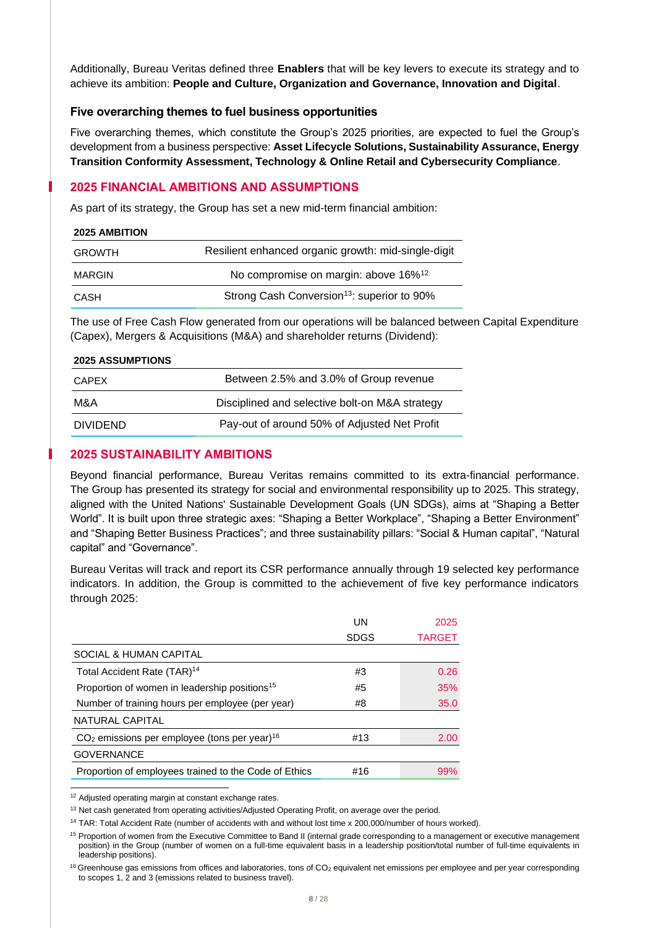Additionally, Bureau Veritas defined three **Enablers** that will be key levers to execute its strategy and to achieve its ambition: **People and Culture, Organization and Governance, Innovation and Digital**.

#### **Five overarching themes to fuel business opportunities**

Five overarching themes, which constitute the Group's 2025 priorities, are expected to fuel the Group's development from a business perspective: **Asset Lifecycle Solutions, Sustainability Assurance, Energy Transition Conformity Assessment, Technology & Online Retail and Cybersecurity Compliance**.

# **2025 FINANCIAL AMBITIONS AND ASSUMPTIONS**

As part of its strategy, the Group has set a new mid-term financial ambition:

| <b>2025 AMBITION</b> |                                                        |
|----------------------|--------------------------------------------------------|
| <b>GROWTH</b>        | Resilient enhanced organic growth: mid-single-digit    |
| MARGIN               | No compromise on margin: above 16% <sup>12</sup>       |
| CASH                 | Strong Cash Conversion <sup>13</sup> : superior to 90% |

The use of Free Cash Flow generated from our operations will be balanced between Capital Expenditure (Capex), Mergers & Acquisitions (M&A) and shareholder returns (Dividend):

#### **2025 ASSUMPTIONS**

| CAPEX     | Between 2.5% and 3.0% of Group revenue         |
|-----------|------------------------------------------------|
| M&A       | Disciplined and selective bolt-on M&A strategy |
| DIVIDEND. | Pay-out of around 50% of Adjusted Net Profit   |

### **2025 SUSTAINABILITY AMBITIONS**

Beyond financial performance, Bureau Veritas remains committed to its extra-financial performance. The Group has presented its strategy for social and environmental responsibility up to 2025. This strategy, aligned with the United Nations' Sustainable Development Goals (UN SDGs), aims at "Shaping a Better World". It is built upon three strategic axes: "Shaping a Better Workplace", "Shaping a Better Environment" and "Shaping Better Business Practices"; and three sustainability pillars: "Social & Human capital", "Natural capital" and "Governance".

Bureau Veritas will track and report its CSR performance annually through 19 selected key performance indicators. In addition, the Group is committed to the achievement of five key performance indicators through 2025:

|                                                            | UN          | 2025          |
|------------------------------------------------------------|-------------|---------------|
|                                                            | <b>SDGS</b> | <b>TARGET</b> |
| SOCIAL & HUMAN CAPITAL                                     |             |               |
| Total Accident Rate (TAR) <sup>14</sup>                    | #3          | 0.26          |
| Proportion of women in leadership positions <sup>15</sup>  | #5          | 35%           |
| Number of training hours per employee (per year)           | #8          | 35.0          |
| NATURAL CAPITAL                                            |             |               |
| $CO2$ emissions per employee (tons per year) <sup>16</sup> | #13         | 2.00          |
| <b>GOVERNANCE</b>                                          |             |               |
| Proportion of employees trained to the Code of Ethics      | #16         | 99%           |

<sup>12</sup> Adjusted operating margin at constant exchange rates.

<sup>13</sup> Net cash generated from operating activities/Adjusted Operating Profit, on average over the period.

<sup>14</sup> TAR: Total Accident Rate (number of accidents with and without lost time x 200,000/number of hours worked).

<sup>&</sup>lt;sup>15</sup> Proportion of women from the Executive Committee to Band II (internal grade corresponding to a management or executive management position) in the Group (number of women on a full-time equivalent basis in a leadership position/total number of full-time equivalents in leadership positions).

 $16$  Greenhouse gas emissions from offices and laboratories, tons of CO<sub>2</sub> equivalent net emissions per employee and per year corresponding to scopes 1, 2 and 3 (emissions related to business travel).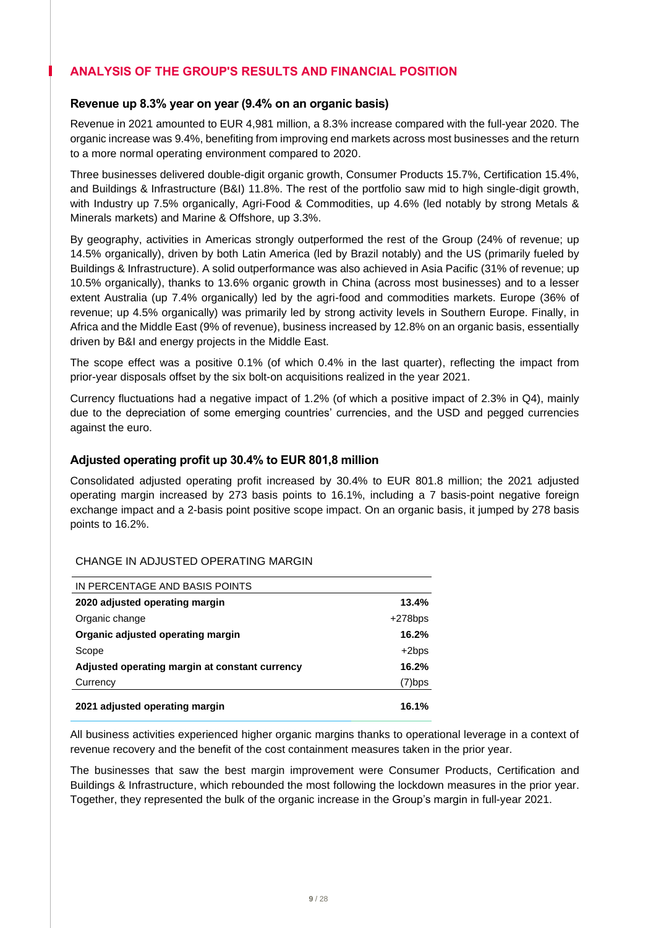# **ANALYSIS OF THE GROUP'S RESULTS AND FINANCIAL POSITION**

### **Revenue up 8.3% year on year (9.4% on an organic basis)**

Revenue in 2021 amounted to EUR 4,981 million, a 8.3% increase compared with the full-year 2020. The organic increase was 9.4%, benefiting from improving end markets across most businesses and the return to a more normal operating environment compared to 2020.

Three businesses delivered double-digit organic growth, Consumer Products 15.7%, Certification 15.4%, and Buildings & Infrastructure (B&I) 11.8%. The rest of the portfolio saw mid to high single-digit growth, with Industry up 7.5% organically, Agri-Food & Commodities, up 4.6% (led notably by strong Metals & Minerals markets) and Marine & Offshore, up 3.3%.

By geography, activities in Americas strongly outperformed the rest of the Group (24% of revenue; up 14.5% organically), driven by both Latin America (led by Brazil notably) and the US (primarily fueled by Buildings & Infrastructure). A solid outperformance was also achieved in Asia Pacific (31% of revenue; up 10.5% organically), thanks to 13.6% organic growth in China (across most businesses) and to a lesser extent Australia (up 7.4% organically) led by the agri-food and commodities markets. Europe (36% of revenue; up 4.5% organically) was primarily led by strong activity levels in Southern Europe. Finally, in Africa and the Middle East (9% of revenue), business increased by 12.8% on an organic basis, essentially driven by B&I and energy projects in the Middle East.

The scope effect was a positive 0.1% (of which 0.4% in the last quarter), reflecting the impact from prior-year disposals offset by the six bolt-on acquisitions realized in the year 2021.

Currency fluctuations had a negative impact of 1.2% (of which a positive impact of 2.3% in Q4), mainly due to the depreciation of some emerging countries' currencies, and the USD and pegged currencies against the euro.

#### **Adjusted operating profit up 30.4% to EUR 801,8 million**

Consolidated adjusted operating profit increased by 30.4% to EUR 801.8 million; the 2021 adjusted operating margin increased by 273 basis points to 16.1%, including a 7 basis-point negative foreign exchange impact and a 2-basis point positive scope impact. On an organic basis, it jumped by 278 basis points to 16.2%.

# CHANGE IN ADJUSTED OPERATING MARGIN

| IN PERCENTAGE AND BASIS POINTS                 |            |
|------------------------------------------------|------------|
| 2020 adjusted operating margin                 | 13.4%      |
| Organic change                                 | $+278$ bps |
| Organic adjusted operating margin              | 16.2%      |
| Scope                                          | $+2bps$    |
| Adjusted operating margin at constant currency | 16.2%      |
| Currency                                       | (7)bps     |
| 2021 adjusted operating margin                 | 16.1%      |

All business activities experienced higher organic margins thanks to operational leverage in a context of revenue recovery and the benefit of the cost containment measures taken in the prior year.

The businesses that saw the best margin improvement were Consumer Products, Certification and Buildings & Infrastructure, which rebounded the most following the lockdown measures in the prior year. Together, they represented the bulk of the organic increase in the Group's margin in full-year 2021.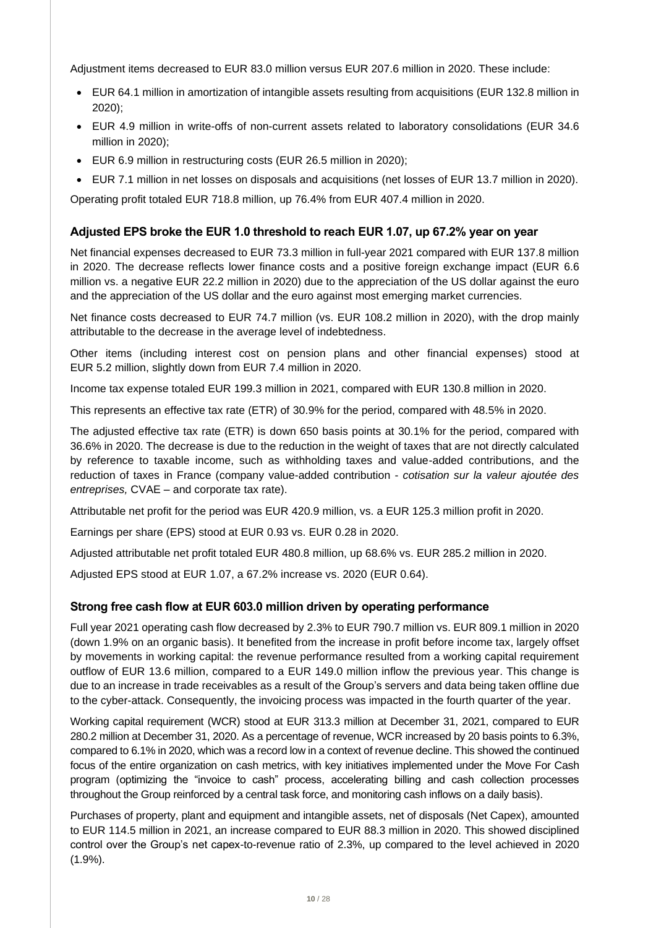Adjustment items decreased to EUR 83.0 million versus EUR 207.6 million in 2020. These include:

- EUR 64.1 million in amortization of intangible assets resulting from acquisitions (EUR 132.8 million in 2020);
- EUR 4.9 million in write-offs of non-current assets related to laboratory consolidations (EUR 34.6 million in 2020);
- EUR 6.9 million in restructuring costs (EUR 26.5 million in 2020);
- EUR 7.1 million in net losses on disposals and acquisitions (net losses of EUR 13.7 million in 2020).

Operating profit totaled EUR 718.8 million, up 76.4% from EUR 407.4 million in 2020.

# **Adjusted EPS broke the EUR 1.0 threshold to reach EUR 1.07, up 67.2% year on year**

Net financial expenses decreased to EUR 73.3 million in full-year 2021 compared with EUR 137.8 million in 2020. The decrease reflects lower finance costs and a positive foreign exchange impact (EUR 6.6 million vs. a negative EUR 22.2 million in 2020) due to the appreciation of the US dollar against the euro and the appreciation of the US dollar and the euro against most emerging market currencies.

Net finance costs decreased to EUR 74.7 million (vs. EUR 108.2 million in 2020), with the drop mainly attributable to the decrease in the average level of indebtedness.

Other items (including interest cost on pension plans and other financial expenses) stood at EUR 5.2 million, slightly down from EUR 7.4 million in 2020.

Income tax expense totaled EUR 199.3 million in 2021, compared with EUR 130.8 million in 2020.

This represents an effective tax rate (ETR) of 30.9% for the period, compared with 48.5% in 2020.

The adjusted effective tax rate (ETR) is down 650 basis points at 30.1% for the period, compared with 36.6% in 2020. The decrease is due to the reduction in the weight of taxes that are not directly calculated by reference to taxable income, such as withholding taxes and value-added contributions, and the reduction of taxes in France (company value-added contribution - *cotisation sur la valeur ajoutée des entreprises,* CVAE – and corporate tax rate).

Attributable net profit for the period was EUR 420.9 million, vs. a EUR 125.3 million profit in 2020.

Earnings per share (EPS) stood at EUR 0.93 vs. EUR 0.28 in 2020.

Adjusted attributable net profit totaled EUR 480.8 million, up 68.6% vs. EUR 285.2 million in 2020.

Adjusted EPS stood at EUR 1.07, a 67.2% increase vs. 2020 (EUR 0.64).

# **Strong free cash flow at EUR 603.0 million driven by operating performance**

Full year 2021 operating cash flow decreased by 2.3% to EUR 790.7 million vs. EUR 809.1 million in 2020 (down 1.9% on an organic basis). It benefited from the increase in profit before income tax, largely offset by movements in working capital: the revenue performance resulted from a working capital requirement outflow of EUR 13.6 million, compared to a EUR 149.0 million inflow the previous year. This change is due to an increase in trade receivables as a result of the Group's servers and data being taken offline due to the cyber-attack. Consequently, the invoicing process was impacted in the fourth quarter of the year.

Working capital requirement (WCR) stood at EUR 313.3 million at December 31, 2021, compared to EUR 280.2 million at December 31, 2020. As a percentage of revenue, WCR increased by 20 basis points to 6.3%, compared to 6.1% in 2020, which was a record low in a context of revenue decline. This showed the continued focus of the entire organization on cash metrics, with key initiatives implemented under the Move For Cash program (optimizing the "invoice to cash" process, accelerating billing and cash collection processes throughout the Group reinforced by a central task force, and monitoring cash inflows on a daily basis).

Purchases of property, plant and equipment and intangible assets, net of disposals (Net Capex), amounted to EUR 114.5 million in 2021, an increase compared to EUR 88.3 million in 2020. This showed disciplined control over the Group's net capex-to-revenue ratio of 2.3%, up compared to the level achieved in 2020 (1.9%).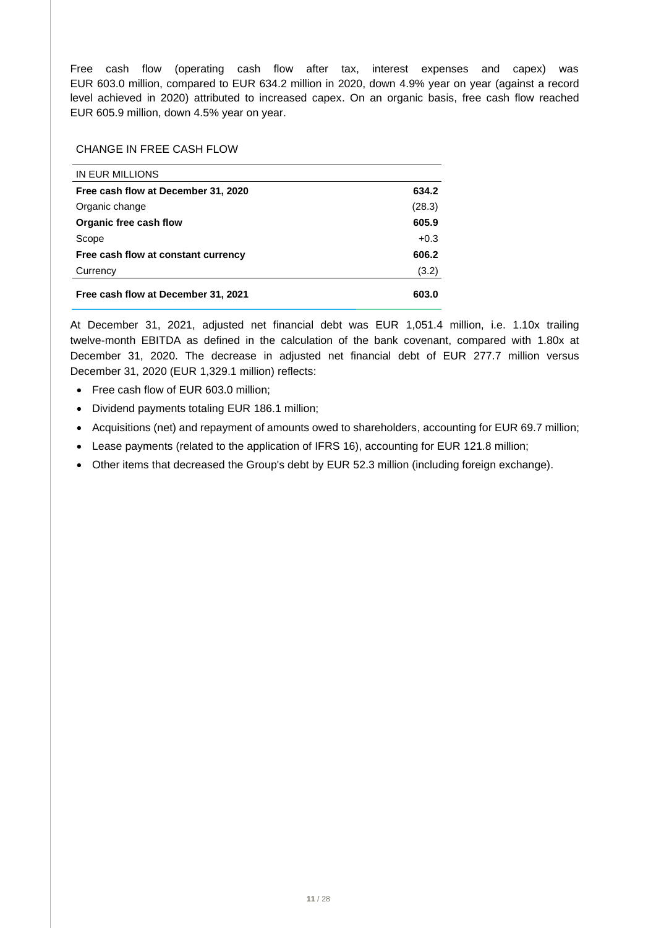Free cash flow (operating cash flow after tax, interest expenses and capex) was EUR 603.0 million, compared to EUR 634.2 million in 2020, down 4.9% year on year (against a record level achieved in 2020) attributed to increased capex. On an organic basis, free cash flow reached EUR 605.9 million, down 4.5% year on year.

#### CHANGE IN FREE CASH FLOW

| IN EUR MILLIONS                     |        |
|-------------------------------------|--------|
| Free cash flow at December 31, 2020 | 634.2  |
| Organic change                      | (28.3) |
| Organic free cash flow              | 605.9  |
| Scope                               | $+0.3$ |
| Free cash flow at constant currency | 606.2  |
| Currency                            | (3.2)  |
| Free cash flow at December 31, 2021 | 603.0  |

At December 31, 2021, adjusted net financial debt was EUR 1,051.4 million, i.e. 1.10x trailing twelve-month EBITDA as defined in the calculation of the bank covenant, compared with 1.80x at December 31, 2020. The decrease in adjusted net financial debt of EUR 277.7 million versus December 31, 2020 (EUR 1,329.1 million) reflects:

- Free cash flow of EUR 603.0 million;
- Dividend payments totaling EUR 186.1 million;
- Acquisitions (net) and repayment of amounts owed to shareholders, accounting for EUR 69.7 million;
- Lease payments (related to the application of IFRS 16), accounting for EUR 121.8 million;
- Other items that decreased the Group's debt by EUR 52.3 million (including foreign exchange).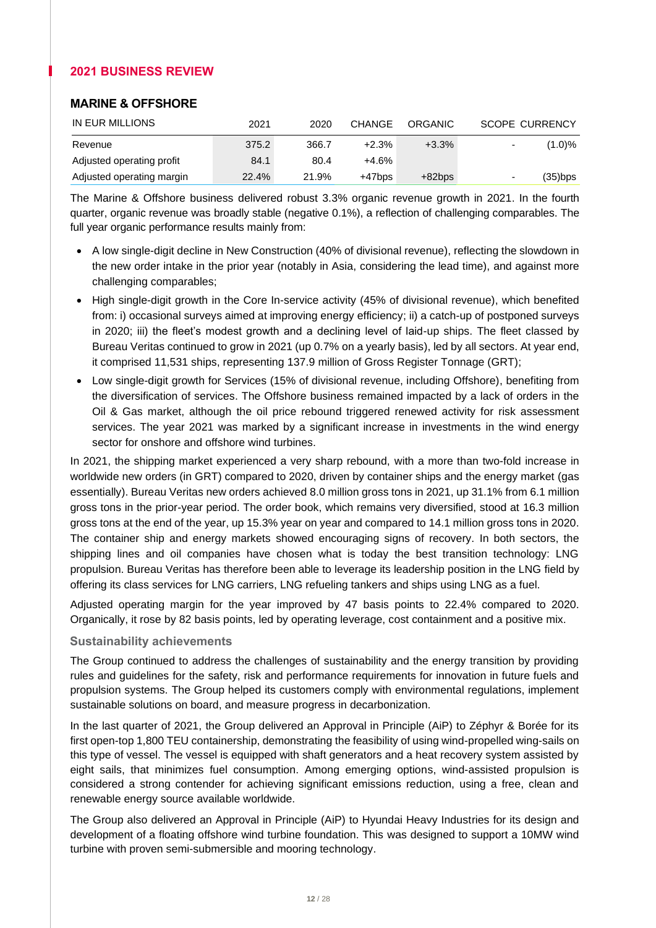# **2021 BUSINESS REVIEW**

# **MARINE & OFFSHORE**

| IN EUR MILLIONS           | 2021  | 2020  | <b>CHANGE</b> | ORGANIC   | <b>SCOPE CURRENCY</b> |
|---------------------------|-------|-------|---------------|-----------|-----------------------|
| Revenue                   | 375.2 | 366.7 | $+2.3%$       | $+3.3%$   | $(1.0) \%$            |
| Adjusted operating profit | 84.1  | 80.4  | $+4.6%$       |           |                       |
| Adjusted operating margin | 22.4% | 21.9% | +47bps        | $+82$ bps | (35)bps<br>-          |

The Marine & Offshore business delivered robust 3.3% organic revenue growth in 2021. In the fourth quarter, organic revenue was broadly stable (negative 0.1%), a reflection of challenging comparables. The full year organic performance results mainly from:

- A low single-digit decline in New Construction (40% of divisional revenue), reflecting the slowdown in the new order intake in the prior year (notably in Asia, considering the lead time), and against more challenging comparables;
- High single-digit growth in the Core In-service activity (45% of divisional revenue), which benefited from: i) occasional surveys aimed at improving energy efficiency; ii) a catch-up of postponed surveys in 2020; iii) the fleet's modest growth and a declining level of laid-up ships. The fleet classed by Bureau Veritas continued to grow in 2021 (up 0.7% on a yearly basis), led by all sectors. At year end, it comprised 11,531 ships, representing 137.9 million of Gross Register Tonnage (GRT);
- Low single-digit growth for Services (15% of divisional revenue, including Offshore), benefiting from the diversification of services. The Offshore business remained impacted by a lack of orders in the Oil & Gas market, although the oil price rebound triggered renewed activity for risk assessment services. The year 2021 was marked by a significant increase in investments in the wind energy sector for onshore and offshore wind turbines.

In 2021, the shipping market experienced a very sharp rebound, with a more than two-fold increase in worldwide new orders (in GRT) compared to 2020, driven by container ships and the energy market (gas essentially). Bureau Veritas new orders achieved 8.0 million gross tons in 2021, up 31.1% from 6.1 million gross tons in the prior-year period. The order book, which remains very diversified, stood at 16.3 million gross tons at the end of the year, up 15.3% year on year and compared to 14.1 million gross tons in 2020. The container ship and energy markets showed encouraging signs of recovery. In both sectors, the shipping lines and oil companies have chosen what is today the best transition technology: LNG propulsion. Bureau Veritas has therefore been able to leverage its leadership position in the LNG field by offering its class services for LNG carriers, LNG refueling tankers and ships using LNG as a fuel.

Adjusted operating margin for the year improved by 47 basis points to 22.4% compared to 2020. Organically, it rose by 82 basis points, led by operating leverage, cost containment and a positive mix.

#### **Sustainability achievements**

The Group continued to address the challenges of sustainability and the energy transition by providing rules and guidelines for the safety, risk and performance requirements for innovation in future fuels and propulsion systems. The Group helped its customers comply with environmental regulations, implement sustainable solutions on board, and measure progress in decarbonization.

In the last quarter of 2021, the Group delivered an Approval in Principle (AiP) to Zéphyr & Borée for its first open-top 1,800 TEU containership, demonstrating the feasibility of using wind-propelled wing-sails on this type of vessel. The vessel is equipped with shaft generators and a heat recovery system assisted by eight sails, that minimizes fuel consumption. Among emerging options, wind-assisted propulsion is considered a strong contender for achieving significant emissions reduction, using a free, clean and renewable energy source available worldwide.

The Group also delivered an Approval in Principle (AiP) to Hyundai Heavy Industries for its design and development of a floating offshore wind turbine foundation. This was designed to support a 10MW wind turbine with proven semi-submersible and mooring technology.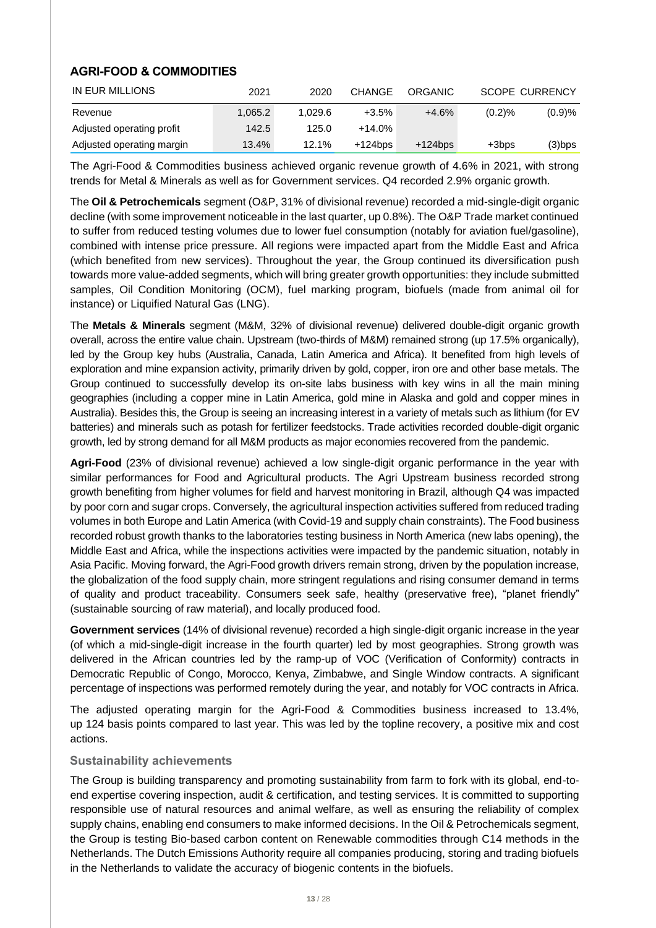# **AGRI-FOOD & COMMODITIES**

| IN EUR MILLIONS           | 2021    | 2020    | <b>CHANGE</b> | ORGANIC |        | <b>SCOPE CURRENCY</b> |
|---------------------------|---------|---------|---------------|---------|--------|-----------------------|
| Revenue                   | 1.065.2 | 1.029.6 | $+3.5%$       | $+4.6%$ | (0.2)% | (0.9)%                |
| Adjusted operating profit | 142.5   | 125.0   | $+14.0%$      |         |        |                       |
| Adjusted operating margin | 13.4%   | 12.1%   | $+124$ bps    | +124bps | +3bps  | $(3)$ bps             |

The Agri-Food & Commodities business achieved organic revenue growth of 4.6% in 2021, with strong trends for Metal & Minerals as well as for Government services. Q4 recorded 2.9% organic growth.

The **Oil & Petrochemicals** segment (O&P, 31% of divisional revenue) recorded a mid-single-digit organic decline (with some improvement noticeable in the last quarter, up 0.8%). The O&P Trade market continued to suffer from reduced testing volumes due to lower fuel consumption (notably for aviation fuel/gasoline), combined with intense price pressure. All regions were impacted apart from the Middle East and Africa (which benefited from new services). Throughout the year, the Group continued its diversification push towards more value-added segments, which will bring greater growth opportunities: they include submitted samples, Oil Condition Monitoring (OCM), fuel marking program, biofuels (made from animal oil for instance) or Liquified Natural Gas (LNG).

The **Metals & Minerals** segment (M&M, 32% of divisional revenue) delivered double-digit organic growth overall, across the entire value chain. Upstream (two-thirds of M&M) remained strong (up 17.5% organically), led by the Group key hubs (Australia, Canada, Latin America and Africa). It benefited from high levels of exploration and mine expansion activity, primarily driven by gold, copper, iron ore and other base metals. The Group continued to successfully develop its on-site labs business with key wins in all the main mining geographies (including a copper mine in Latin America, gold mine in Alaska and gold and copper mines in Australia). Besides this, the Group is seeing an increasing interest in a variety of metals such as lithium (for EV batteries) and minerals such as potash for fertilizer feedstocks. Trade activities recorded double-digit organic growth, led by strong demand for all M&M products as major economies recovered from the pandemic.

**Agri-Food** (23% of divisional revenue) achieved a low single-digit organic performance in the year with similar performances for Food and Agricultural products. The Agri Upstream business recorded strong growth benefiting from higher volumes for field and harvest monitoring in Brazil, although Q4 was impacted by poor corn and sugar crops. Conversely, the agricultural inspection activities suffered from reduced trading volumes in both Europe and Latin America (with Covid-19 and supply chain constraints). The Food business recorded robust growth thanks to the laboratories testing business in North America (new labs opening), the Middle East and Africa, while the inspections activities were impacted by the pandemic situation, notably in Asia Pacific. Moving forward, the Agri-Food growth drivers remain strong, driven by the population increase, the globalization of the food supply chain, more stringent regulations and rising consumer demand in terms of quality and product traceability. Consumers seek safe, healthy (preservative free), "planet friendly" (sustainable sourcing of raw material), and locally produced food.

**Government services** (14% of divisional revenue) recorded a high single-digit organic increase in the year (of which a mid-single-digit increase in the fourth quarter) led by most geographies. Strong growth was delivered in the African countries led by the ramp-up of VOC (Verification of Conformity) contracts in Democratic Republic of Congo, Morocco, Kenya, Zimbabwe, and Single Window contracts. A significant percentage of inspections was performed remotely during the year, and notably for VOC contracts in Africa.

The adjusted operating margin for the Agri-Food & Commodities business increased to 13.4%, up 124 basis points compared to last year. This was led by the topline recovery, a positive mix and cost actions.

#### **Sustainability achievements**

The Group is building transparency and promoting sustainability from farm to fork with its global, end-toend expertise covering inspection, audit & certification, and testing services. It is committed to supporting responsible use of natural resources and animal welfare, as well as ensuring the reliability of complex supply chains, enabling end consumers to make informed decisions. In the Oil & Petrochemicals segment, the Group is testing Bio-based carbon content on Renewable commodities through C14 methods in the Netherlands. The Dutch Emissions Authority require all companies producing, storing and trading biofuels in the Netherlands to validate the accuracy of biogenic contents in the biofuels.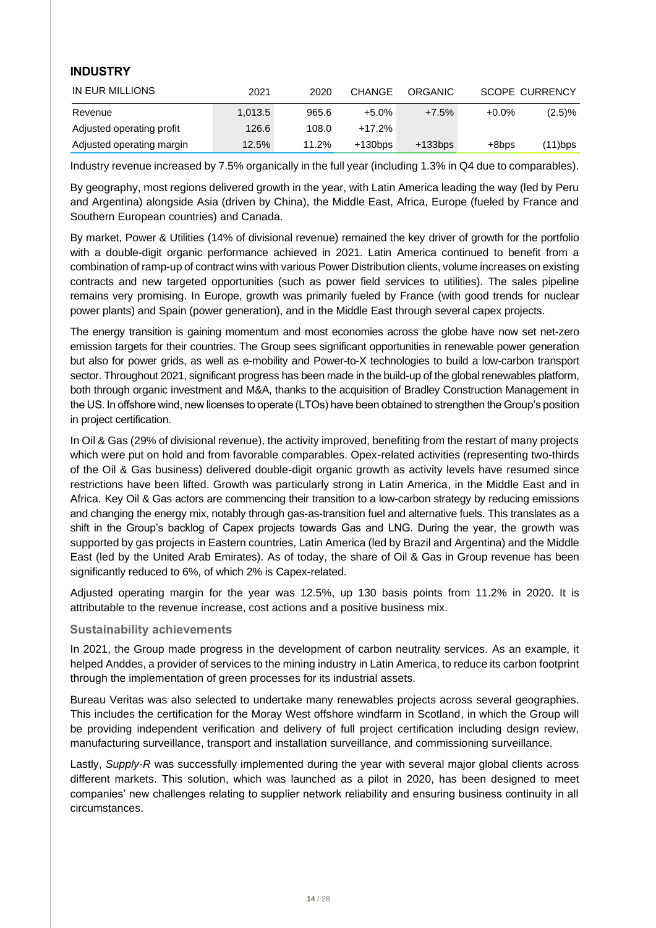# **INDUSTRY**

| IN EUR MILLIONS           | 2021    | 2020  | <b>CHANGE</b> | ORGANIC    |          | <b>SCOPE CURRENCY</b> |
|---------------------------|---------|-------|---------------|------------|----------|-----------------------|
| Revenue                   | 1.013.5 | 965.6 | $+5.0\%$      | $+7.5%$    | $+0.0\%$ | $(2.5)\%$             |
| Adjusted operating profit | 126.6   | 108.0 | $+17.2\%$     |            |          |                       |
| Adjusted operating margin | 12.5%   | 11.2% | $+130$ bps    | $+133$ bps | +8bps    | $(11)$ bps            |

Industry revenue increased by 7.5% organically in the full year (including 1.3% in Q4 due to comparables).

By geography, most regions delivered growth in the year, with Latin America leading the way (led by Peru and Argentina) alongside Asia (driven by China), the Middle East, Africa, Europe (fueled by France and Southern European countries) and Canada.

By market, Power & Utilities (14% of divisional revenue) remained the key driver of growth for the portfolio with a double-digit organic performance achieved in 2021. Latin America continued to benefit from a combination of ramp-up of contract wins with various Power Distribution clients, volume increases on existing contracts and new targeted opportunities (such as power field services to utilities). The sales pipeline remains very promising. In Europe, growth was primarily fueled by France (with good trends for nuclear power plants) and Spain (power generation), and in the Middle East through several capex projects.

The energy transition is gaining momentum and most economies across the globe have now set net-zero emission targets for their countries. The Group sees significant opportunities in renewable power generation but also for power grids, as well as e-mobility and Power-to-X technologies to build a low-carbon transport sector. Throughout 2021, significant progress has been made in the build-up of the global renewables platform, both through organic investment and M&A, thanks to the acquisition of Bradley Construction Management in the US. In offshore wind, new licenses to operate (LTOs) have been obtained to strengthen the Group's position in project certification.

In Oil & Gas (29% of divisional revenue), the activity improved, benefiting from the restart of many projects which were put on hold and from favorable comparables. Opex-related activities (representing two-thirds of the Oil & Gas business) delivered double-digit organic growth as activity levels have resumed since restrictions have been lifted. Growth was particularly strong in Latin America, in the Middle East and in Africa. Key Oil & Gas actors are commencing their transition to a low-carbon strategy by reducing emissions and changing the energy mix, notably through gas-as-transition fuel and alternative fuels. This translates as a shift in the Group's backlog of Capex projects towards Gas and LNG. During the year, the growth was supported by gas projects in Eastern countries, Latin America (led by Brazil and Argentina) and the Middle East (led by the United Arab Emirates). As of today, the share of Oil & Gas in Group revenue has been significantly reduced to 6%, of which 2% is Capex-related.

Adjusted operating margin for the year was 12.5%, up 130 basis points from 11.2% in 2020. It is attributable to the revenue increase, cost actions and a positive business mix.

#### **Sustainability achievements**

In 2021, the Group made progress in the development of carbon neutrality services. As an example, it helped Anddes, a provider of services to the mining industry in Latin America, to reduce its carbon footprint through the implementation of green processes for its industrial assets.

Bureau Veritas was also selected to undertake many renewables projects across several geographies. This includes the certification for the Moray West offshore windfarm in Scotland, in which the Group will be providing independent verification and delivery of full project certification including design review, manufacturing surveillance, transport and installation surveillance, and commissioning surveillance.

Lastly, *Supply-R* was successfully implemented during the year with several major global clients across different markets. This solution, which was launched as a pilot in 2020, has been designed to meet companies' new challenges relating to supplier network reliability and ensuring business continuity in all circumstances.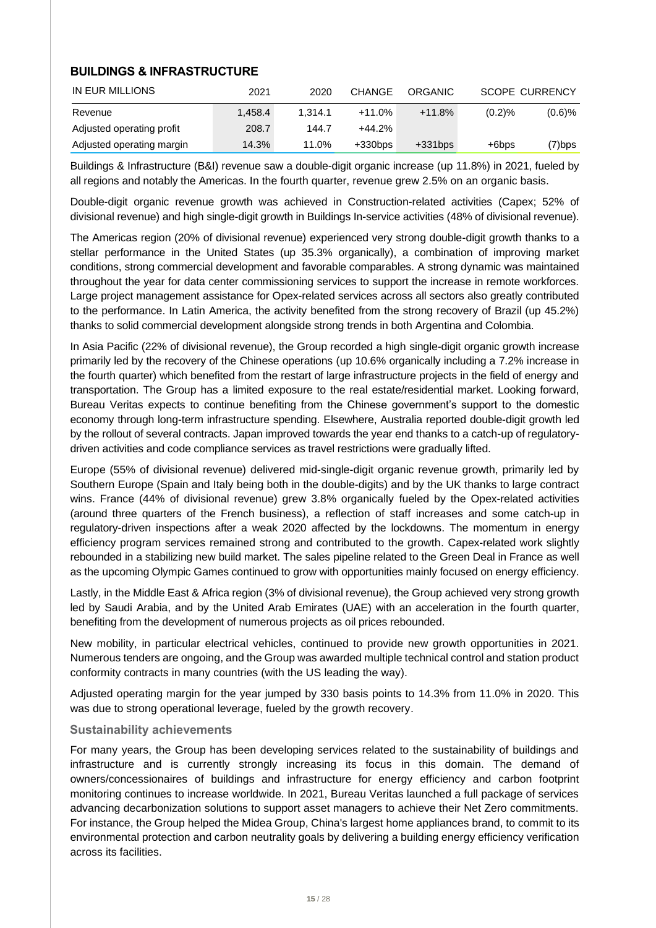# **BUILDINGS & INFRASTRUCTURE**

| IN EUR MILLIONS           | 2021    | 2020    | <b>CHANGE</b> | ORGANIC    |        | <b>SCOPE CURRENCY</b> |
|---------------------------|---------|---------|---------------|------------|--------|-----------------------|
| Revenue                   | 1.458.4 | 1.314.1 | $+11.0%$      | $+11.8%$   | (0.2)% | $(0.6)$ %             |
| Adjusted operating profit | 208.7   | 144.7   | $+44.2%$      |            |        |                       |
| Adjusted operating margin | 14.3%   | 11.0%   | $+330$ bps    | $+331$ bps | +6bps  | '7)bps                |

Buildings & Infrastructure (B&I) revenue saw a double-digit organic increase (up 11.8%) in 2021, fueled by all regions and notably the Americas. In the fourth quarter, revenue grew 2.5% on an organic basis.

Double-digit organic revenue growth was achieved in Construction-related activities (Capex; 52% of divisional revenue) and high single-digit growth in Buildings In-service activities (48% of divisional revenue).

The Americas region (20% of divisional revenue) experienced very strong double-digit growth thanks to a stellar performance in the United States (up 35.3% organically), a combination of improving market conditions, strong commercial development and favorable comparables. A strong dynamic was maintained throughout the year for data center commissioning services to support the increase in remote workforces. Large project management assistance for Opex-related services across all sectors also greatly contributed to the performance. In Latin America, the activity benefited from the strong recovery of Brazil (up 45.2%) thanks to solid commercial development alongside strong trends in both Argentina and Colombia.

In Asia Pacific (22% of divisional revenue), the Group recorded a high single-digit organic growth increase primarily led by the recovery of the Chinese operations (up 10.6% organically including a 7.2% increase in the fourth quarter) which benefited from the restart of large infrastructure projects in the field of energy and transportation. The Group has a limited exposure to the real estate/residential market. Looking forward, Bureau Veritas expects to continue benefiting from the Chinese government's support to the domestic economy through long-term infrastructure spending. Elsewhere, Australia reported double-digit growth led by the rollout of several contracts. Japan improved towards the year end thanks to a catch-up of regulatorydriven activities and code compliance services as travel restrictions were gradually lifted.

Europe (55% of divisional revenue) delivered mid-single-digit organic revenue growth, primarily led by Southern Europe (Spain and Italy being both in the double-digits) and by the UK thanks to large contract wins. France (44% of divisional revenue) grew 3.8% organically fueled by the Opex-related activities (around three quarters of the French business), a reflection of staff increases and some catch-up in regulatory-driven inspections after a weak 2020 affected by the lockdowns. The momentum in energy efficiency program services remained strong and contributed to the growth. Capex-related work slightly rebounded in a stabilizing new build market. The sales pipeline related to the Green Deal in France as well as the upcoming Olympic Games continued to grow with opportunities mainly focused on energy efficiency.

Lastly, in the Middle East & Africa region (3% of divisional revenue), the Group achieved very strong growth led by Saudi Arabia, and by the United Arab Emirates (UAE) with an acceleration in the fourth quarter, benefiting from the development of numerous projects as oil prices rebounded.

New mobility, in particular electrical vehicles, continued to provide new growth opportunities in 2021. Numerous tenders are ongoing, and the Group was awarded multiple technical control and station product conformity contracts in many countries (with the US leading the way).

Adjusted operating margin for the year jumped by 330 basis points to 14.3% from 11.0% in 2020. This was due to strong operational leverage, fueled by the growth recovery.

#### **Sustainability achievements**

For many years, the Group has been developing services related to the sustainability of buildings and infrastructure and is currently strongly increasing its focus in this domain. The demand of owners/concessionaires of buildings and infrastructure for energy efficiency and carbon footprint monitoring continues to increase worldwide. In 2021, Bureau Veritas launched a full package of services advancing decarbonization solutions to support asset managers to achieve their Net Zero commitments. For instance, the Group helped the Midea Group, China's largest home appliances brand, to commit to its environmental protection and carbon neutrality goals by delivering a building energy efficiency verification across its facilities.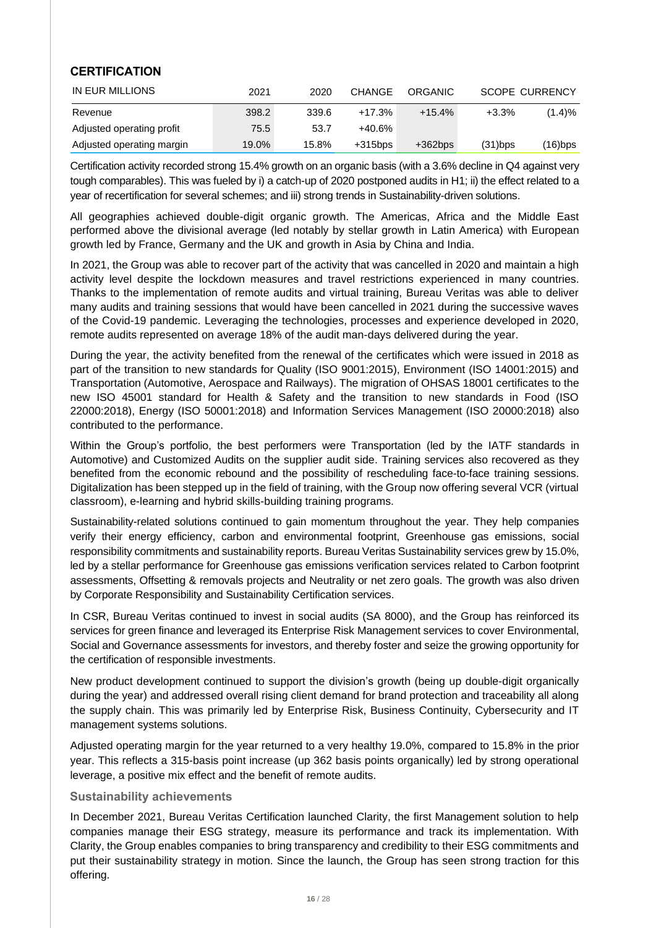# **CERTIFICATION**

| IN EUR MILLIONS           | 2021  | 2020  | CHANGE     | <b>ORGANIC</b> |            | SCOPE CURRENCY |
|---------------------------|-------|-------|------------|----------------|------------|----------------|
| Revenue                   | 398.2 | 339.6 | $+17.3%$   | $+15.4%$       | $+3.3\%$   | (1.4)%         |
| Adjusted operating profit | 75.5  | 53.7  | +40.6%     |                |            |                |
| Adjusted operating margin | 19.0% | 15.8% | $+315$ bps | $+362$ bps     | $(31)$ bps | $(16)$ bps     |

Certification activity recorded strong 15.4% growth on an organic basis (with a 3.6% decline in Q4 against very tough comparables). This was fueled by i) a catch-up of 2020 postponed audits in H1; ii) the effect related to a year of recertification for several schemes; and iii) strong trends in Sustainability-driven solutions.

All geographies achieved double-digit organic growth. The Americas, Africa and the Middle East performed above the divisional average (led notably by stellar growth in Latin America) with European growth led by France, Germany and the UK and growth in Asia by China and India.

In 2021, the Group was able to recover part of the activity that was cancelled in 2020 and maintain a high activity level despite the lockdown measures and travel restrictions experienced in many countries. Thanks to the implementation of remote audits and virtual training, Bureau Veritas was able to deliver many audits and training sessions that would have been cancelled in 2021 during the successive waves of the Covid-19 pandemic. Leveraging the technologies, processes and experience developed in 2020, remote audits represented on average 18% of the audit man-days delivered during the year.

During the year, the activity benefited from the renewal of the certificates which were issued in 2018 as part of the transition to new standards for Quality (ISO 9001:2015), Environment (ISO 14001:2015) and Transportation (Automotive, Aerospace and Railways). The migration of OHSAS 18001 certificates to the new ISO 45001 standard for Health & Safety and the transition to new standards in Food (ISO 22000:2018), Energy (ISO 50001:2018) and Information Services Management (ISO 20000:2018) also contributed to the performance.

Within the Group's portfolio, the best performers were Transportation (led by the IATF standards in Automotive) and Customized Audits on the supplier audit side. Training services also recovered as they benefited from the economic rebound and the possibility of rescheduling face-to-face training sessions. Digitalization has been stepped up in the field of training, with the Group now offering several VCR (virtual classroom), e-learning and hybrid skills-building training programs.

Sustainability-related solutions continued to gain momentum throughout the year. They help companies verify their energy efficiency, carbon and environmental footprint, Greenhouse gas emissions, social responsibility commitments and sustainability reports. Bureau Veritas Sustainability services grew by 15.0%, led by a stellar performance for Greenhouse gas emissions verification services related to Carbon footprint assessments, Offsetting & removals projects and Neutrality or net zero goals. The growth was also driven by Corporate Responsibility and Sustainability Certification services.

In CSR, Bureau Veritas continued to invest in social audits (SA 8000), and the Group has reinforced its services for green finance and leveraged its Enterprise Risk Management services to cover Environmental, Social and Governance assessments for investors, and thereby foster and seize the growing opportunity for the certification of responsible investments.

New product development continued to support the division's growth (being up double-digit organically during the year) and addressed overall rising client demand for brand protection and traceability all along the supply chain. This was primarily led by Enterprise Risk, Business Continuity, Cybersecurity and IT management systems solutions.

Adjusted operating margin for the year returned to a very healthy 19.0%, compared to 15.8% in the prior year. This reflects a 315-basis point increase (up 362 basis points organically) led by strong operational leverage, a positive mix effect and the benefit of remote audits.

#### **Sustainability achievements**

In December 2021, Bureau Veritas Certification launched Clarity, the first Management solution to help companies manage their ESG strategy, measure its performance and track its implementation. With Clarity, the Group enables companies to bring transparency and credibility to their ESG commitments and put their sustainability strategy in motion. Since the launch, the Group has seen strong traction for this offering.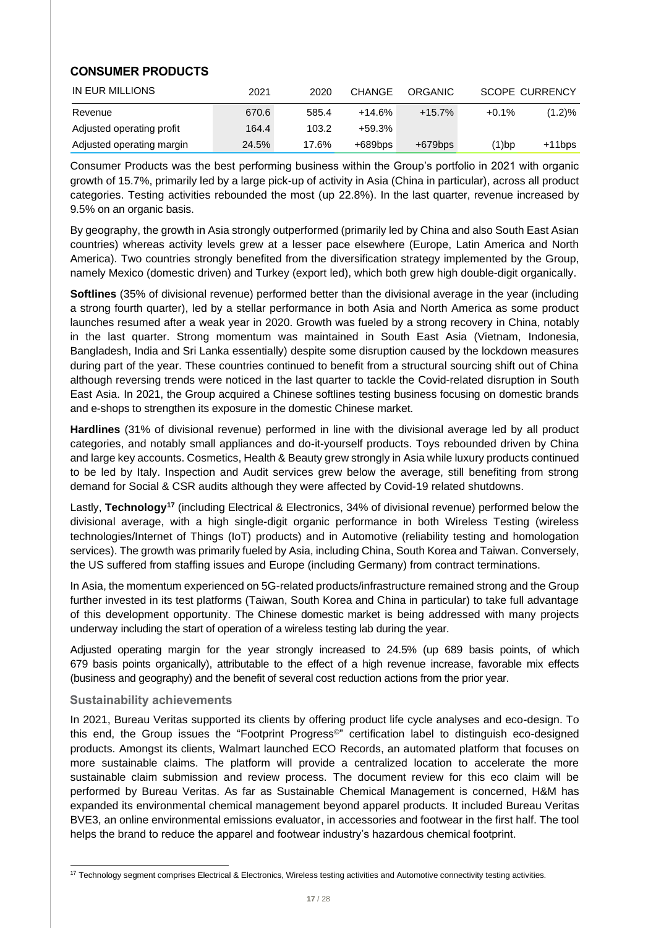# **CONSUMER PRODUCTS**

| IN EUR MILLIONS           | 2021  | 2020  | <b>CHANGE</b> | ORGANIC    |          | <b>SCOPE CURRENCY</b> |
|---------------------------|-------|-------|---------------|------------|----------|-----------------------|
| Revenue                   | 670.6 | 585.4 | $+14.6%$      | $+15.7\%$  | $+0.1\%$ | (1.2)%                |
| Adjusted operating profit | 164.4 | 103.2 | +59.3%        |            |          |                       |
| Adjusted operating margin | 24.5% | 17.6% | $+689$ bps    | $+679$ bps | (1)bp    | $+11$ bps             |

Consumer Products was the best performing business within the Group's portfolio in 2021 with organic growth of 15.7%, primarily led by a large pick-up of activity in Asia (China in particular), across all product categories. Testing activities rebounded the most (up 22.8%). In the last quarter, revenue increased by 9.5% on an organic basis.

By geography, the growth in Asia strongly outperformed (primarily led by China and also South East Asian countries) whereas activity levels grew at a lesser pace elsewhere (Europe, Latin America and North America). Two countries strongly benefited from the diversification strategy implemented by the Group, namely Mexico (domestic driven) and Turkey (export led), which both grew high double-digit organically.

**Softlines** (35% of divisional revenue) performed better than the divisional average in the year (including a strong fourth quarter), led by a stellar performance in both Asia and North America as some product launches resumed after a weak year in 2020. Growth was fueled by a strong recovery in China, notably in the last quarter. Strong momentum was maintained in South East Asia (Vietnam, Indonesia, Bangladesh, India and Sri Lanka essentially) despite some disruption caused by the lockdown measures during part of the year. These countries continued to benefit from a structural sourcing shift out of China although reversing trends were noticed in the last quarter to tackle the Covid-related disruption in South East Asia. In 2021, the Group acquired a Chinese softlines testing business focusing on domestic brands and e-shops to strengthen its exposure in the domestic Chinese market.

**Hardlines** (31% of divisional revenue) performed in line with the divisional average led by all product categories, and notably small appliances and do-it-yourself products. Toys rebounded driven by China and large key accounts. Cosmetics, Health & Beauty grew strongly in Asia while luxury products continued to be led by Italy. Inspection and Audit services grew below the average, still benefiting from strong demand for Social & CSR audits although they were affected by Covid-19 related shutdowns.

Lastly, **Technology<sup>17</sup>** (including Electrical & Electronics, 34% of divisional revenue) performed below the divisional average, with a high single-digit organic performance in both Wireless Testing (wireless technologies/Internet of Things (IoT) products) and in Automotive (reliability testing and homologation services). The growth was primarily fueled by Asia, including China, South Korea and Taiwan. Conversely, the US suffered from staffing issues and Europe (including Germany) from contract terminations.

In Asia, the momentum experienced on 5G-related products/infrastructure remained strong and the Group further invested in its test platforms (Taiwan, South Korea and China in particular) to take full advantage of this development opportunity. The Chinese domestic market is being addressed with many projects underway including the start of operation of a wireless testing lab during the year.

Adjusted operating margin for the year strongly increased to 24.5% (up 689 basis points, of which 679 basis points organically), attributable to the effect of a high revenue increase, favorable mix effects (business and geography) and the benefit of several cost reduction actions from the prior year.

#### **Sustainability achievements**

In 2021, Bureau Veritas supported its clients by offering product life cycle analyses and eco-design. To this end, the Group issues the "Footprint Progress©" certification label to distinguish eco-designed products. Amongst its clients, Walmart launched ECO Records, an automated platform that focuses on more sustainable claims. The platform will provide a centralized location to accelerate the more sustainable claim submission and review process. The document review for this eco claim will be performed by Bureau Veritas. As far as Sustainable Chemical Management is concerned, H&M has expanded its environmental chemical management beyond apparel products. It included Bureau Veritas BVE3, an online environmental emissions evaluator, in accessories and footwear in the first half. The tool helps the brand to reduce the apparel and footwear industry's hazardous chemical footprint.

<sup>17</sup> Technology segment comprises Electrical & Electronics, Wireless testing activities and Automotive connectivity testing activities.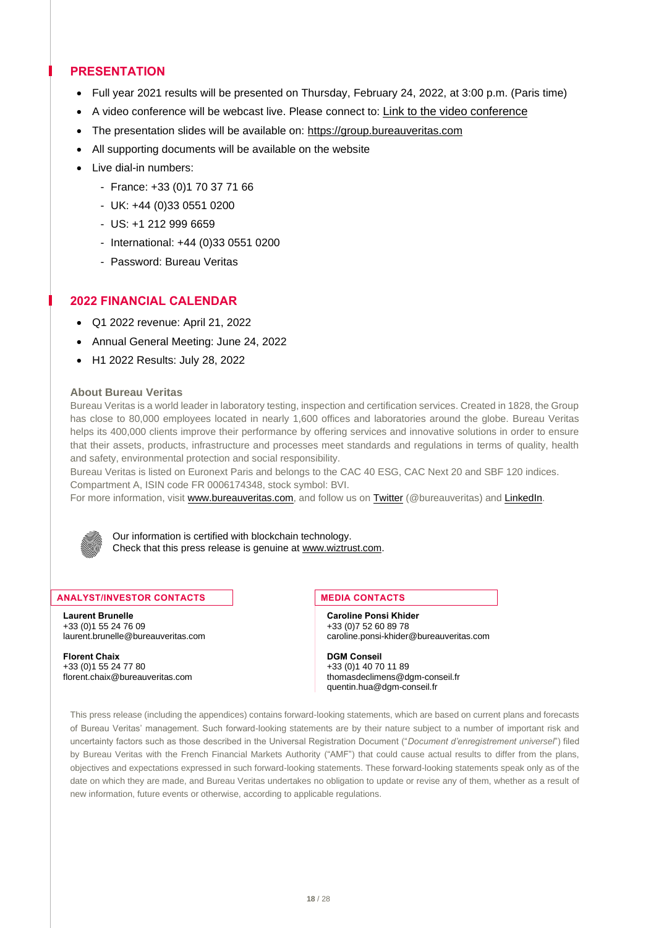# **PRESENTATION**

- Full year 2021 results will be presented on Thursday, February 24, 2022, at 3:00 p.m. (Paris time)
- A video conference will be webcast live. Please connect to: [Link to the video conference](https://channel.royalcast.com/bureauveritas/#!/bureauveritas/20220224_1)
- The presentation slides will be available on: [https://group.bureauveritas.com](https://group.bureauveritas.com/investors/financial-information/financial-results)
- All supporting documents will be available on the website
- Live dial-in numbers:
	- France: +33 (0)1 70 37 71 66
	- UK: +44 (0)33 0551 0200
	- US: +1 212 999 6659
	- International: +44 (0)33 0551 0200
	- Password: Bureau Veritas

### **2022 FINANCIAL CALENDAR**

- Q1 2022 revenue: April 21, 2022
- Annual General Meeting: June 24, 2022
- H1 2022 Results: July 28, 2022

#### **About Bureau Veritas**

Bureau Veritas is a world leader in laboratory testing, inspection and certification services. Created in 1828, the Group has close to 80,000 employees located in nearly 1,600 offices and laboratories around the globe. Bureau Veritas helps its 400,000 clients improve their performance by offering services and innovative solutions in order to ensure that their assets, products, infrastructure and processes meet standards and regulations in terms of quality, health and safety, environmental protection and social responsibility.

Bureau Veritas is listed on Euronext Paris and belongs to the CAC 40 ESG, CAC Next 20 and SBF 120 indices. Compartment A, ISIN code FR 0006174348, stock symbol: BVI.

For more information, visit [www.bureauveritas.com,](https://group.bureauveritas.com/) and follow us on [Twitter](https://twitter.com/bureauveritas) (@bureauveritas) and [LinkedIn.](https://www.linkedin.com/company/bureau-veritas-group/)

Our information is certified with blockchain technology. Check that this press release is genuine a[t www.wiztrust.com.](http://www.wiztrust.com/)

#### **ANALYST/INVESTOR CONTACTS MEDIA CONTACTS**

**Laurent Brunelle Caroline Ponsi Khider** +33 (0)1 55 24 76 09 +33 (0)7 52 60 89 78

**Florent Chaix DGM Conseil** +33 (0)1 55 24 77 80 +33 (0)1 40 70 11 89

caroline.ponsi-khider@bureauveritas.com

florent.chaix@bureauveritas.com entitled thomasdeclimens@dgm-conseil.fr quentin.hua@dgm-conseil.fr

This press release (including the appendices) contains forward-looking statements, which are based on current plans and forecasts of Bureau Veritas' management. Such forward-looking statements are by their nature subject to a number of important risk and uncertainty factors such as those described in the Universal Registration Document ("*Document d'enregistrement universel*") filed by Bureau Veritas with the French Financial Markets Authority ("AMF") that could cause actual results to differ from the plans, objectives and expectations expressed in such forward-looking statements. These forward-looking statements speak only as of the date on which they are made, and Bureau Veritas undertakes no obligation to update or revise any of them, whether as a result of new information, future events or otherwise, according to applicable regulations.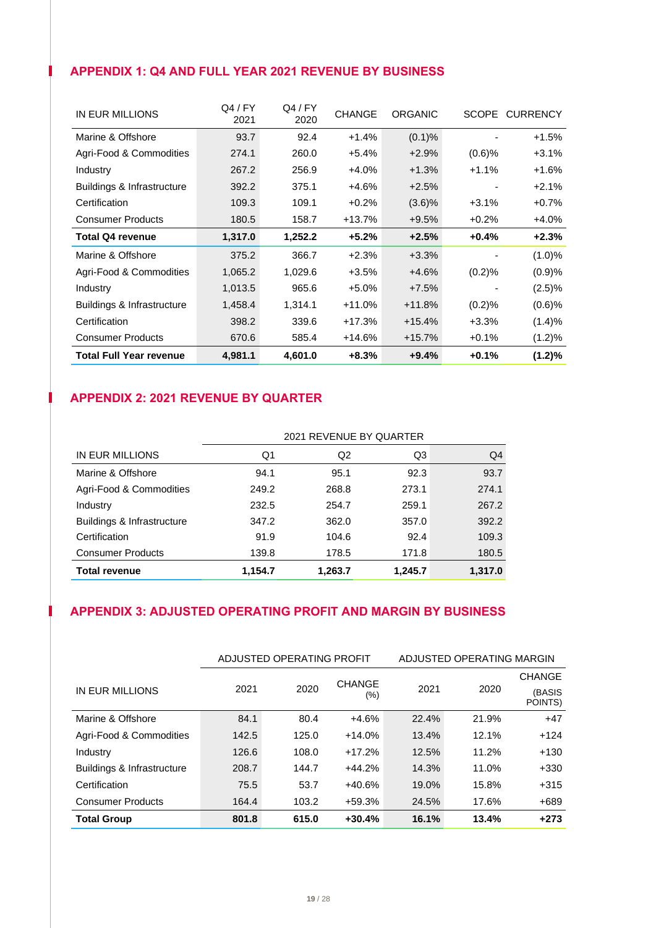# **APPENDIX 1: Q4 AND FULL YEAR 2021 REVENUE BY BUSINESS**

| IN EUR MILLIONS                | $Q4$ / FY<br>2021 | $Q4$ / FY<br>2020 | <b>CHANGE</b> | <b>ORGANIC</b> |         | SCOPE CURRENCY |
|--------------------------------|-------------------|-------------------|---------------|----------------|---------|----------------|
| Marine & Offshore              | 93.7              | 92.4              | $+1.4%$       | (0.1)%         |         | $+1.5%$        |
| Agri-Food & Commodities        | 274.1             | 260.0             | $+5.4%$       | $+2.9%$        | (0.6)%  | $+3.1%$        |
| Industry                       | 267.2             | 256.9             | $+4.0%$       | $+1.3%$        | $+1.1%$ | $+1.6%$        |
| Buildings & Infrastructure     | 392.2             | 375.1             | $+4.6%$       | $+2.5%$        |         | $+2.1%$        |
| Certification                  | 109.3             | 109.1             | $+0.2%$       | (3.6)%         | $+3.1%$ | $+0.7%$        |
| <b>Consumer Products</b>       | 180.5             | 158.7             | +13.7%        | $+9.5%$        | $+0.2%$ | $+4.0%$        |
| <b>Total Q4 revenue</b>        | 1,317.0           | 1,252.2           | $+5.2%$       | $+2.5%$        | $+0.4%$ | $+2.3%$        |
| Marine & Offshore              | 375.2             | 366.7             | $+2.3%$       | $+3.3%$        |         | (1.0)%         |
| Agri-Food & Commodities        | 1,065.2           | 1,029.6           | $+3.5%$       | $+4.6%$        | (0.2)%  | (0.9)%         |
| Industry                       | 1,013.5           | 965.6             | $+5.0%$       | $+7.5%$        |         | (2.5)%         |
| Buildings & Infrastructure     | 1,458.4           | 1,314.1           | $+11.0%$      | $+11.8%$       | (0.2)%  | $(0.6)$ %      |
| Certification                  | 398.2             | 339.6             | +17.3%        | $+15.4%$       | $+3.3%$ | (1.4)%         |
| <b>Consumer Products</b>       | 670.6             | 585.4             | +14.6%        | $+15.7%$       | $+0.1%$ | $(1.2)\%$      |
| <b>Total Full Year revenue</b> | 4,981.1           | 4,601.0           | $+8.3%$       | $+9.4%$        | $+0.1%$ | (1.2)%         |

# **APPENDIX 2: 2021 REVENUE BY QUARTER**

|                            | 2021 REVENUE BY QUARTER |         |         |         |  |
|----------------------------|-------------------------|---------|---------|---------|--|
| IN EUR MILLIONS            | Q1                      | Q2      | Q3      | Q4      |  |
| Marine & Offshore          | 94.1                    | 95.1    | 92.3    | 93.7    |  |
| Agri-Food & Commodities    | 249.2                   | 268.8   | 273.1   | 274.1   |  |
| Industry                   | 232.5                   | 254.7   | 259.1   | 267.2   |  |
| Buildings & Infrastructure | 347.2                   | 362.0   | 357.0   | 392.2   |  |
| Certification              | 91.9                    | 104.6   | 92.4    | 109.3   |  |
| <b>Consumer Products</b>   | 139.8                   | 178.5   | 171.8   | 180.5   |  |
| <b>Total revenue</b>       | 1,154.7                 | 1,263.7 | 1,245.7 | 1,317.0 |  |

# **APPENDIX 3: ADJUSTED OPERATING PROFIT AND MARGIN BY BUSINESS**

|                            |       | ADJUSTED OPERATING PROFIT |               |       | ADJUSTED OPERATING MARGIN |                   |
|----------------------------|-------|---------------------------|---------------|-------|---------------------------|-------------------|
|                            |       |                           | <b>CHANGE</b> |       |                           | <b>CHANGE</b>     |
| IN EUR MILLIONS            | 2021  | 2020                      | $(\% )$       | 2021  | 2020                      | (BASIS<br>POINTS) |
| Marine & Offshore          | 84.1  | 80.4                      | $+4.6%$       | 22.4% | 21.9%                     | $+47$             |
| Agri-Food & Commodities    | 142.5 | 125.0                     | $+14.0%$      | 13.4% | 12.1%                     | $+124$            |
| Industry                   | 126.6 | 108.0                     | $+17.2%$      | 12.5% | 11.2%                     | $+130$            |
| Buildings & Infrastructure | 208.7 | 144.7                     | $+44.2%$      | 14.3% | 11.0%                     | $+330$            |
| Certification              | 75.5  | 53.7                      | $+40.6%$      | 19.0% | 15.8%                     | $+315$            |
| <b>Consumer Products</b>   | 164.4 | 103.2                     | $+59.3%$      | 24.5% | 17.6%                     | $+689$            |
| <b>Total Group</b>         | 801.8 | 615.0                     | $+30.4%$      | 16.1% | 13.4%                     | $+273$            |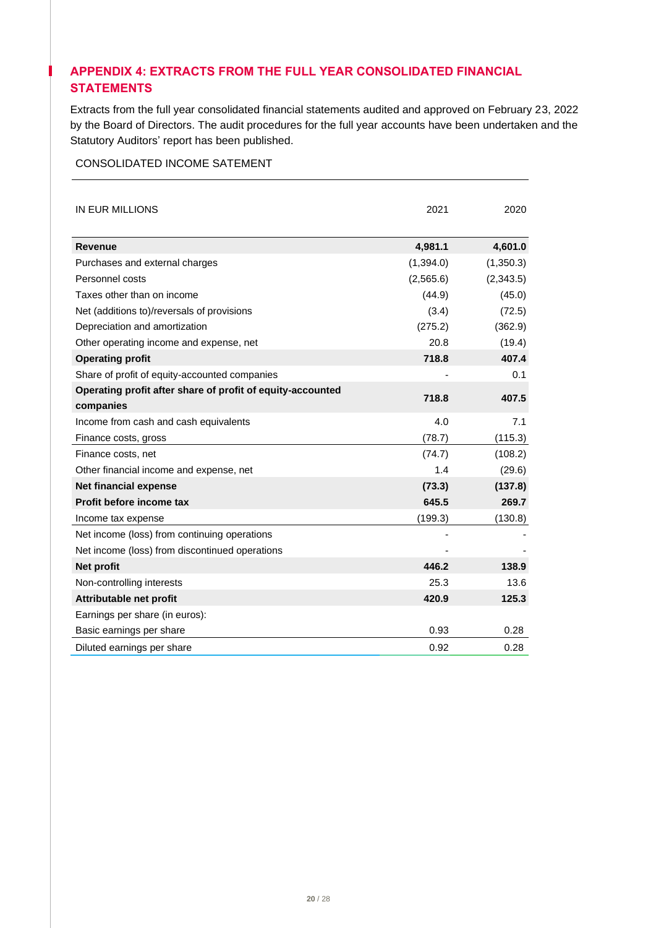# **APPENDIX 4: EXTRACTS FROM THE FULL YEAR CONSOLIDATED FINANCIAL STATEMENTS**

Extracts from the full year consolidated financial statements audited and approved on February 23, 2022 by the Board of Directors. The audit procedures for the full year accounts have been undertaken and the Statutory Auditors' report has been published.

CONSOLIDATED INCOME SATEMENT

| IN EUR MILLIONS                                                         | 2021      | 2020      |
|-------------------------------------------------------------------------|-----------|-----------|
| <b>Revenue</b>                                                          | 4,981.1   | 4,601.0   |
| Purchases and external charges                                          | (1,394.0) | (1,350.3) |
| Personnel costs                                                         | (2,565.6) | (2,343.5) |
| Taxes other than on income                                              | (44.9)    | (45.0)    |
| Net (additions to)/reversals of provisions                              | (3.4)     | (72.5)    |
| Depreciation and amortization                                           | (275.2)   | (362.9)   |
| Other operating income and expense, net                                 | 20.8      | (19.4)    |
| <b>Operating profit</b>                                                 | 718.8     | 407.4     |
| Share of profit of equity-accounted companies                           |           | 0.1       |
| Operating profit after share of profit of equity-accounted<br>companies | 718.8     | 407.5     |
| Income from cash and cash equivalents                                   | 4.0       | 7.1       |
| Finance costs, gross                                                    | (78.7)    | (115.3)   |
| Finance costs, net                                                      | (74.7)    | (108.2)   |
| Other financial income and expense, net                                 | 1.4       | (29.6)    |
| <b>Net financial expense</b>                                            | (73.3)    | (137.8)   |
| Profit before income tax                                                | 645.5     | 269.7     |
| Income tax expense                                                      | (199.3)   | (130.8)   |
| Net income (loss) from continuing operations                            |           |           |
| Net income (loss) from discontinued operations                          |           |           |
| Net profit                                                              | 446.2     | 138.9     |
| Non-controlling interests                                               | 25.3      | 13.6      |
| Attributable net profit                                                 | 420.9     | 125.3     |
| Earnings per share (in euros):                                          |           |           |
| Basic earnings per share                                                | 0.93      | 0.28      |
| Diluted earnings per share                                              | 0.92      | 0.28      |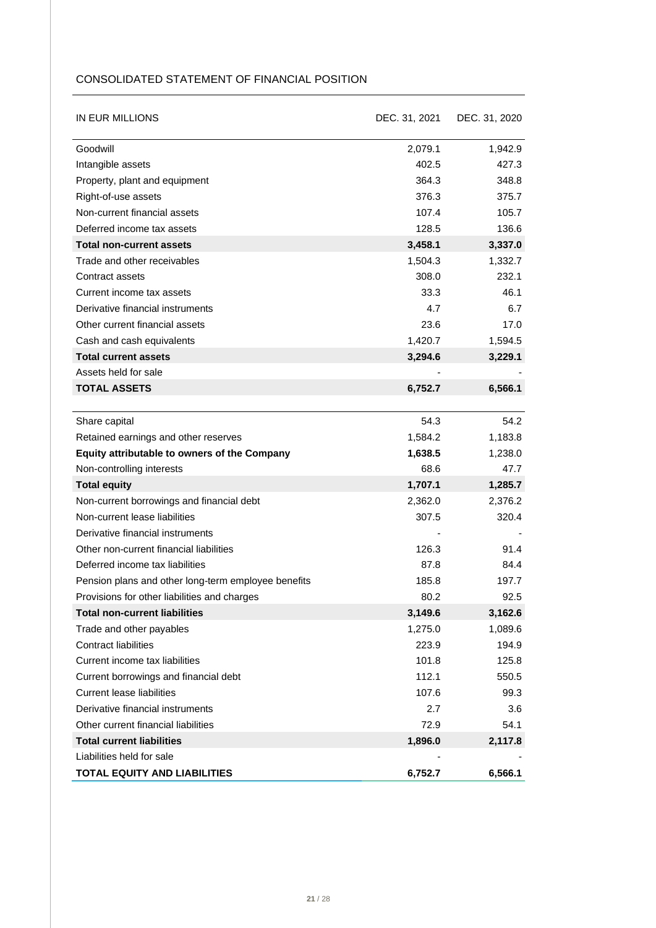# CONSOLIDATED STATEMENT OF FINANCIAL POSITION

| IN EUR MILLIONS                                     | DEC. 31, 2021 | DEC. 31, 2020 |
|-----------------------------------------------------|---------------|---------------|
| Goodwill                                            | 2,079.1       | 1,942.9       |
| Intangible assets                                   | 402.5         | 427.3         |
| Property, plant and equipment                       | 364.3         | 348.8         |
| Right-of-use assets                                 | 376.3         | 375.7         |
| Non-current financial assets                        | 107.4         | 105.7         |
| Deferred income tax assets                          | 128.5         | 136.6         |
| <b>Total non-current assets</b>                     | 3,458.1       | 3,337.0       |
| Trade and other receivables                         | 1,504.3       | 1,332.7       |
| Contract assets                                     | 308.0         | 232.1         |
| Current income tax assets                           | 33.3          | 46.1          |
| Derivative financial instruments                    | 4.7           | 6.7           |
| Other current financial assets                      | 23.6          | 17.0          |
| Cash and cash equivalents                           | 1,420.7       | 1,594.5       |
| <b>Total current assets</b>                         | 3,294.6       | 3,229.1       |
| Assets held for sale                                |               |               |
| <b>TOTAL ASSETS</b>                                 | 6,752.7       | 6,566.1       |
|                                                     |               |               |
| Share capital                                       | 54.3          | 54.2          |
| Retained earnings and other reserves                | 1,584.2       | 1,183.8       |
| Equity attributable to owners of the Company        | 1,638.5       | 1,238.0       |
| Non-controlling interests                           | 68.6          | 47.7          |
| <b>Total equity</b>                                 | 1,707.1       | 1,285.7       |
| Non-current borrowings and financial debt           | 2,362.0       | 2,376.2       |
| Non-current lease liabilities                       | 307.5         | 320.4         |
| Derivative financial instruments                    |               |               |
| Other non-current financial liabilities             | 126.3         | 91.4          |
| Deferred income tax liabilities                     | 87.8          | 84.4          |
| Pension plans and other long-term employee benefits | 185.8         | 197.7         |
| Provisions for other liabilities and charges        | 80.2          | 92.5          |
| <b>Total non-current liabilities</b>                | 3,149.6       | 3,162.6       |
| Trade and other payables                            | 1,275.0       | 1,089.6       |
| <b>Contract liabilities</b>                         | 223.9         | 194.9         |
| Current income tax liabilities                      | 101.8         | 125.8         |
| Current borrowings and financial debt               | 112.1         | 550.5         |
| <b>Current lease liabilities</b>                    | 107.6         | 99.3          |
| Derivative financial instruments                    | 2.7           | 3.6           |
| Other current financial liabilities                 | 72.9          | 54.1          |
| <b>Total current liabilities</b>                    | 1,896.0       | 2,117.8       |
| Liabilities held for sale                           |               |               |
| <b>TOTAL EQUITY AND LIABILITIES</b>                 | 6,752.7       | 6,566.1       |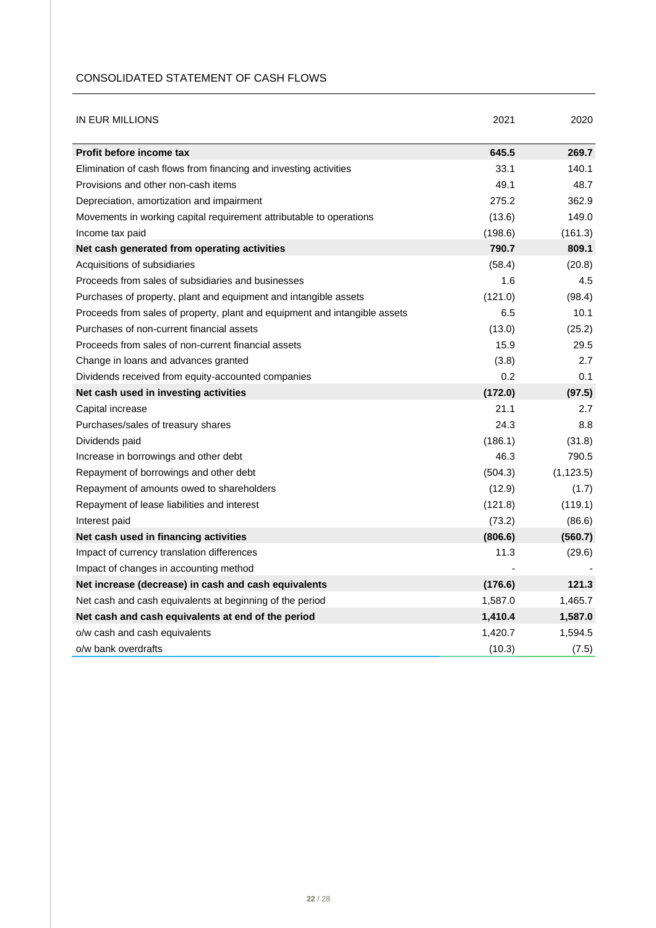### CONSOLIDATED STATEMENT OF CASH FLOWS

| IN EUR MILLIONS                                                            | 2021    | 2020       |
|----------------------------------------------------------------------------|---------|------------|
| Profit before income tax                                                   | 645.5   | 269.7      |
| Elimination of cash flows from financing and investing activities          | 33.1    | 140.1      |
| Provisions and other non-cash items                                        | 49.1    | 48.7       |
| Depreciation, amortization and impairment                                  | 275.2   | 362.9      |
| Movements in working capital requirement attributable to operations        | (13.6)  | 149.0      |
| Income tax paid                                                            | (198.6) | (161.3)    |
| Net cash generated from operating activities                               | 790.7   | 809.1      |
| Acquisitions of subsidiaries                                               | (58.4)  | (20.8)     |
| Proceeds from sales of subsidiaries and businesses                         | 1.6     | 4.5        |
| Purchases of property, plant and equipment and intangible assets           | (121.0) | (98.4)     |
| Proceeds from sales of property, plant and equipment and intangible assets | 6.5     | 10.1       |
| Purchases of non-current financial assets                                  | (13.0)  | (25.2)     |
| Proceeds from sales of non-current financial assets                        | 15.9    | 29.5       |
| Change in loans and advances granted                                       | (3.8)   | 2.7        |
| Dividends received from equity-accounted companies                         | 0.2     | 0.1        |
| Net cash used in investing activities                                      | (172.0) | (97.5)     |
| Capital increase                                                           | 21.1    | 2.7        |
| Purchases/sales of treasury shares                                         | 24.3    | 8.8        |
| Dividends paid                                                             | (186.1) | (31.8)     |
| Increase in borrowings and other debt                                      | 46.3    | 790.5      |
| Repayment of borrowings and other debt                                     | (504.3) | (1, 123.5) |
| Repayment of amounts owed to shareholders                                  | (12.9)  | (1.7)      |
| Repayment of lease liabilities and interest                                | (121.8) | (119.1)    |
| Interest paid                                                              | (73.2)  | (86.6)     |
| Net cash used in financing activities                                      | (806.6) | (560.7)    |
| Impact of currency translation differences                                 | 11.3    | (29.6)     |
| Impact of changes in accounting method                                     |         |            |
| Net increase (decrease) in cash and cash equivalents                       | (176.6) | 121.3      |
| Net cash and cash equivalents at beginning of the period                   | 1,587.0 | 1,465.7    |
| Net cash and cash equivalents at end of the period                         | 1,410.4 | 1,587.0    |
| o/w cash and cash equivalents                                              | 1,420.7 | 1,594.5    |
| o/w bank overdrafts                                                        | (10.3)  | (7.5)      |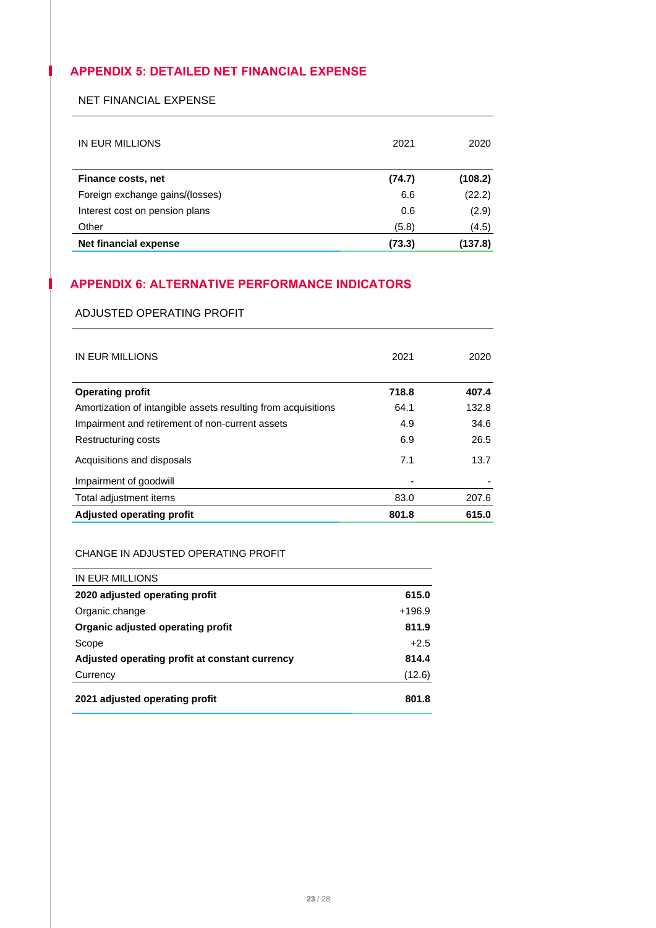# **APPENDIX 5: DETAILED NET FINANCIAL EXPENSE**

#### NET FINANCIAL EXPENSE

| IN EUR MILLIONS                 | 2021   | 2020    |
|---------------------------------|--------|---------|
| Finance costs, net              | (74.7) | (108.2) |
| Foreign exchange gains/(losses) | 6.6    | (22.2)  |
| Interest cost on pension plans  | 0.6    | (2.9)   |
| Other                           | (5.8)  | (4.5)   |
| Net financial expense           | (73.3) | (137.8) |

# **APPENDIX 6: ALTERNATIVE PERFORMANCE INDICATORS**

#### ADJUSTED OPERATING PROFIT

| IN EUR MILLIONS                                               | 2021  | 2020  |
|---------------------------------------------------------------|-------|-------|
| <b>Operating profit</b>                                       | 718.8 | 407.4 |
| Amortization of intangible assets resulting from acquisitions | 64.1  | 132.8 |
| Impairment and retirement of non-current assets               | 4.9   | 34.6  |
| Restructuring costs                                           | 6.9   | 26.5  |
| Acquisitions and disposals                                    | 7.1   | 13.7  |
| Impairment of goodwill                                        |       |       |
| Total adjustment items                                        | 83.0  | 207.6 |
| <b>Adjusted operating profit</b>                              | 801.8 | 615.0 |

#### CHANGE IN ADJUSTED OPERATING PROFIT

| IN EUR MILLIONS                                |          |
|------------------------------------------------|----------|
| 2020 adjusted operating profit                 | 615.0    |
| Organic change                                 | $+196.9$ |
| Organic adjusted operating profit              | 811.9    |
| Scope                                          | $+2.5$   |
| Adjusted operating profit at constant currency | 814.4    |
| Currency                                       | (12.6)   |
| 2021 adjusted operating profit                 | 801.8    |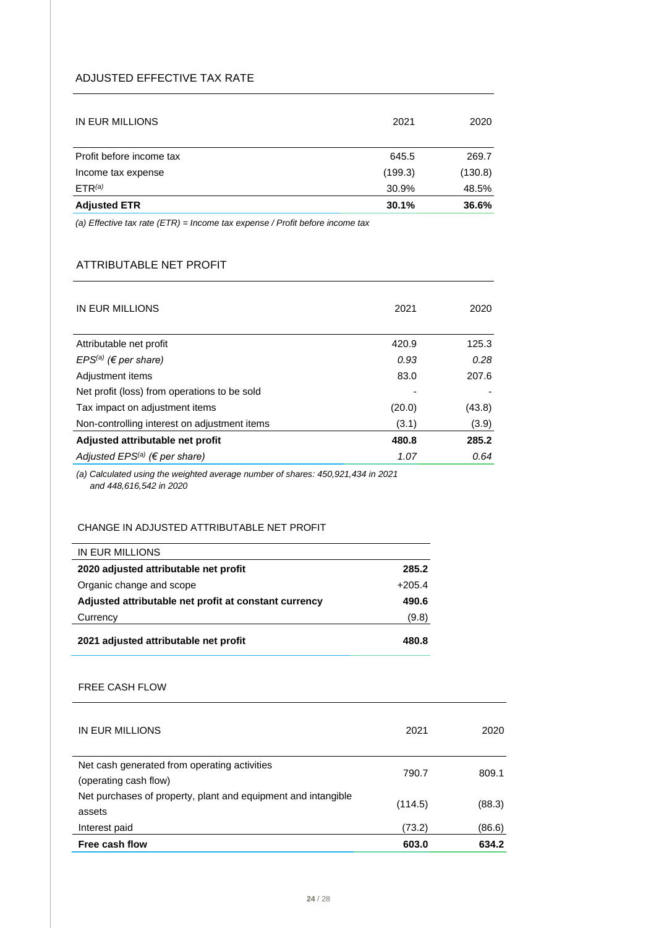#### ADJUSTED EFFECTIVE TAX RATE

| IN EUR MILLIONS          | 2021    | 2020    |
|--------------------------|---------|---------|
| Profit before income tax | 645.5   | 269.7   |
| Income tax expense       | (199.3) | (130.8) |
| $ETR^{(a)}$              | 30.9%   | 48.5%   |
| <b>Adjusted ETR</b>      | 30.1%   | 36.6%   |

*(a) Effective tax rate (ETR) = Income tax expense / Profit before income tax*

# ATTRIBUTABLE NET PROFIT

| IN EUR MILLIONS                              | 2021   | 2020   |
|----------------------------------------------|--------|--------|
| Attributable net profit                      | 420.9  | 125.3  |
| $EPS^{(a)}$ ( $\in$ per share)               | 0.93   | 0.28   |
| Adjustment items                             | 83.0   | 207.6  |
| Net profit (loss) from operations to be sold |        |        |
| Tax impact on adjustment items               | (20.0) | (43.8) |
| Non-controlling interest on adjustment items | (3.1)  | (3.9)  |
| Adjusted attributable net profit             | 480.8  | 285.2  |
| Adjusted $EPS^{(a)}$ ( $\epsilon$ per share) | 1.07   | 0.64   |

*(a) Calculated using the weighted average number of shares: 450,921,434 in 2021 and 448,616,542 in 2020*

# CHANGE IN ADJUSTED ATTRIBUTABLE NET PROFIT

| IN EUR MILLIONS                                       |          |
|-------------------------------------------------------|----------|
| 2020 adjusted attributable net profit                 | 285.2    |
| Organic change and scope                              | $+205.4$ |
| Adjusted attributable net profit at constant currency | 490.6    |
| Currency                                              | (9.8)    |
| 2021 adjusted attributable net profit                 | 480.8    |

#### FREE CASH FLOW

| IN EUR MILLIONS                                                         | 2021    | 2020   |
|-------------------------------------------------------------------------|---------|--------|
| Net cash generated from operating activities<br>(operating cash flow)   | 790.7   | 809.1  |
| Net purchases of property, plant and equipment and intangible<br>assets | (114.5) | (88.3) |
| Interest paid                                                           | (73.2)  | (86.6) |
| Free cash flow                                                          | 603.0   | 634.2  |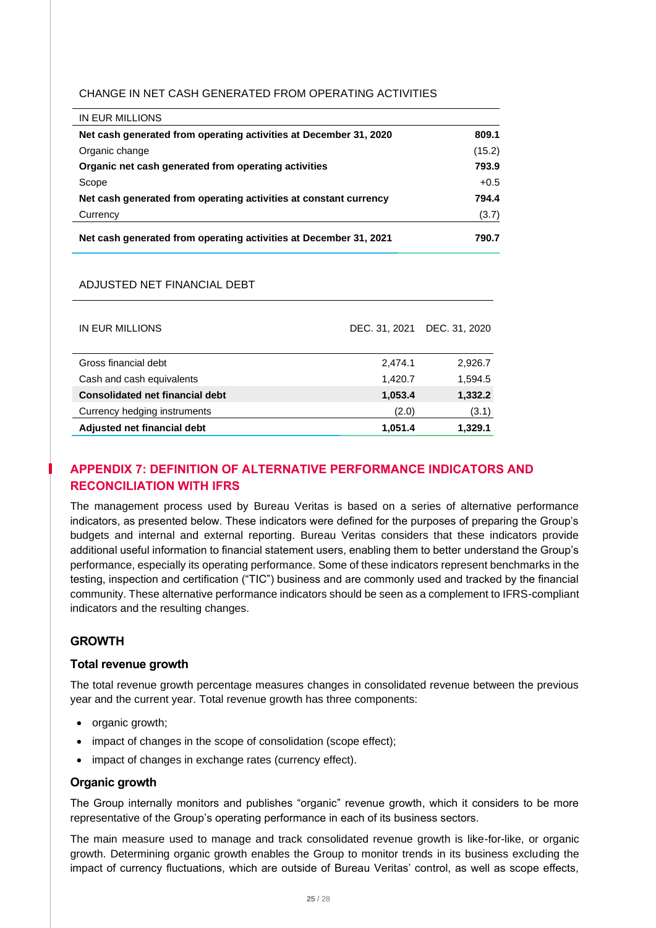#### CHANGE IN NET CASH GENERATED FROM OPERATING ACTIVITIES

| IN EUR MILLIONS                                                   |        |
|-------------------------------------------------------------------|--------|
| Net cash generated from operating activities at December 31, 2020 | 809.1  |
| Organic change                                                    | (15.2) |
| Organic net cash generated from operating activities              | 793.9  |
| Scope                                                             | $+0.5$ |
| Net cash generated from operating activities at constant currency | 794.4  |
| Currency                                                          | (3.7)  |
| Net cash generated from operating activities at December 31, 2021 | 790.7  |

#### ADJUSTED NET FINANCIAL DEBT

| IN EUR MILLIONS                        | DEC. 31, 2021 | DEC. 31, 2020 |
|----------------------------------------|---------------|---------------|
| Gross financial debt                   | 2,474.1       | 2,926.7       |
| Cash and cash equivalents              | 1.420.7       | 1,594.5       |
| <b>Consolidated net financial debt</b> | 1,053.4       | 1,332.2       |
| Currency hedging instruments           | (2.0)         | (3.1)         |
| Adjusted net financial debt            | 1,051.4       | 1,329.1       |

# **APPENDIX 7: DEFINITION OF ALTERNATIVE PERFORMANCE INDICATORS AND RECONCILIATION WITH IFRS**

The management process used by Bureau Veritas is based on a series of alternative performance indicators, as presented below. These indicators were defined for the purposes of preparing the Group's budgets and internal and external reporting. Bureau Veritas considers that these indicators provide additional useful information to financial statement users, enabling them to better understand the Group's performance, especially its operating performance. Some of these indicators represent benchmarks in the testing, inspection and certification ("TIC") business and are commonly used and tracked by the financial community. These alternative performance indicators should be seen as a complement to IFRS-compliant indicators and the resulting changes.

#### **GROWTH**

#### **Total revenue growth**

The total revenue growth percentage measures changes in consolidated revenue between the previous year and the current year. Total revenue growth has three components:

- organic growth;
- impact of changes in the scope of consolidation (scope effect);
- impact of changes in exchange rates (currency effect).

#### **Organic growth**

The Group internally monitors and publishes "organic" revenue growth, which it considers to be more representative of the Group's operating performance in each of its business sectors.

The main measure used to manage and track consolidated revenue growth is like-for-like, or organic growth. Determining organic growth enables the Group to monitor trends in its business excluding the impact of currency fluctuations, which are outside of Bureau Veritas' control, as well as scope effects,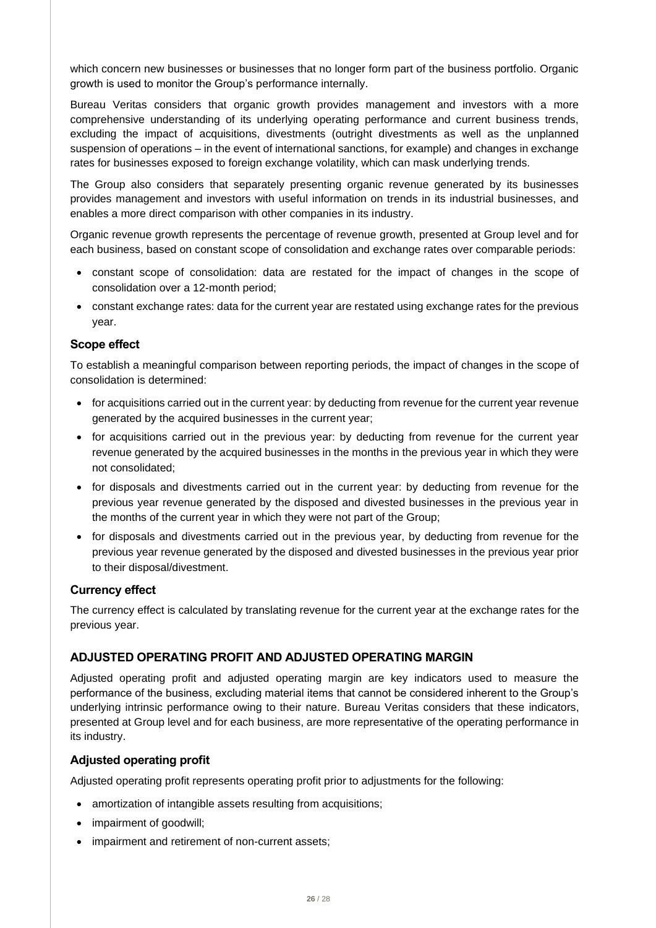which concern new businesses or businesses that no longer form part of the business portfolio. Organic growth is used to monitor the Group's performance internally.

Bureau Veritas considers that organic growth provides management and investors with a more comprehensive understanding of its underlying operating performance and current business trends, excluding the impact of acquisitions, divestments (outright divestments as well as the unplanned suspension of operations – in the event of international sanctions, for example) and changes in exchange rates for businesses exposed to foreign exchange volatility, which can mask underlying trends.

The Group also considers that separately presenting organic revenue generated by its businesses provides management and investors with useful information on trends in its industrial businesses, and enables a more direct comparison with other companies in its industry.

Organic revenue growth represents the percentage of revenue growth, presented at Group level and for each business, based on constant scope of consolidation and exchange rates over comparable periods:

- constant scope of consolidation: data are restated for the impact of changes in the scope of consolidation over a 12-month period;
- constant exchange rates: data for the current year are restated using exchange rates for the previous year.

### **Scope effect**

To establish a meaningful comparison between reporting periods, the impact of changes in the scope of consolidation is determined:

- for acquisitions carried out in the current year: by deducting from revenue for the current year revenue generated by the acquired businesses in the current year;
- for acquisitions carried out in the previous year: by deducting from revenue for the current year revenue generated by the acquired businesses in the months in the previous year in which they were not consolidated;
- for disposals and divestments carried out in the current year: by deducting from revenue for the previous year revenue generated by the disposed and divested businesses in the previous year in the months of the current year in which they were not part of the Group;
- for disposals and divestments carried out in the previous year, by deducting from revenue for the previous year revenue generated by the disposed and divested businesses in the previous year prior to their disposal/divestment.

#### **Currency effect**

The currency effect is calculated by translating revenue for the current year at the exchange rates for the previous year.

# **ADJUSTED OPERATING PROFIT AND ADJUSTED OPERATING MARGIN**

Adjusted operating profit and adjusted operating margin are key indicators used to measure the performance of the business, excluding material items that cannot be considered inherent to the Group's underlying intrinsic performance owing to their nature. Bureau Veritas considers that these indicators, presented at Group level and for each business, are more representative of the operating performance in its industry.

#### **Adjusted operating profit**

Adjusted operating profit represents operating profit prior to adjustments for the following:

- amortization of intangible assets resulting from acquisitions;
- impairment of goodwill;
- impairment and retirement of non-current assets;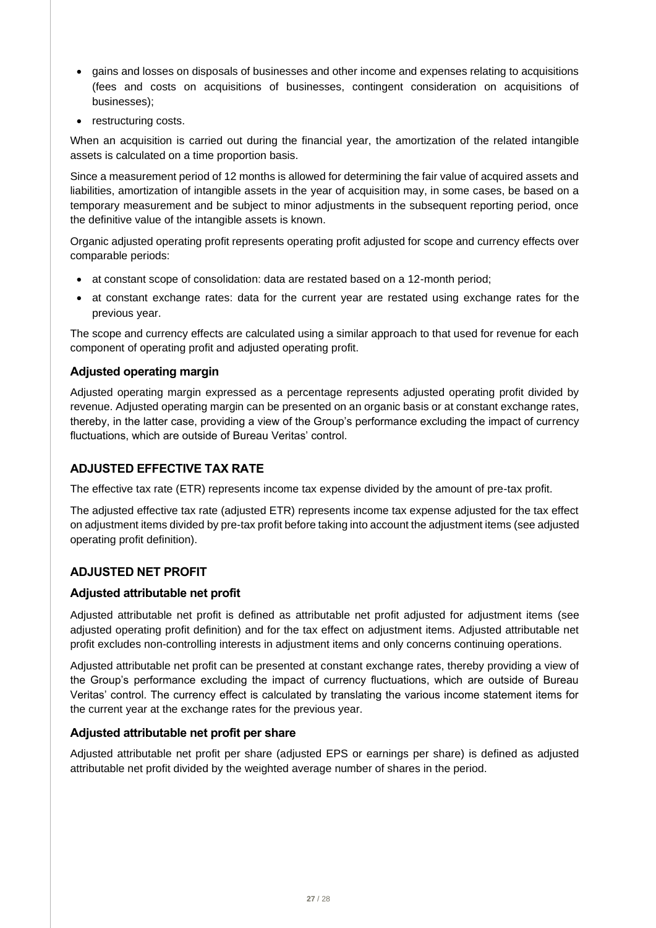- gains and losses on disposals of businesses and other income and expenses relating to acquisitions (fees and costs on acquisitions of businesses, contingent consideration on acquisitions of businesses);
- restructuring costs.

When an acquisition is carried out during the financial year, the amortization of the related intangible assets is calculated on a time proportion basis.

Since a measurement period of 12 months is allowed for determining the fair value of acquired assets and liabilities, amortization of intangible assets in the year of acquisition may, in some cases, be based on a temporary measurement and be subject to minor adjustments in the subsequent reporting period, once the definitive value of the intangible assets is known.

Organic adjusted operating profit represents operating profit adjusted for scope and currency effects over comparable periods:

- at constant scope of consolidation: data are restated based on a 12-month period;
- at constant exchange rates: data for the current year are restated using exchange rates for the previous year.

The scope and currency effects are calculated using a similar approach to that used for revenue for each component of operating profit and adjusted operating profit.

# **Adjusted operating margin**

Adjusted operating margin expressed as a percentage represents adjusted operating profit divided by revenue. Adjusted operating margin can be presented on an organic basis or at constant exchange rates, thereby, in the latter case, providing a view of the Group's performance excluding the impact of currency fluctuations, which are outside of Bureau Veritas' control.

# **ADJUSTED EFFECTIVE TAX RATE**

The effective tax rate (ETR) represents income tax expense divided by the amount of pre-tax profit.

The adjusted effective tax rate (adjusted ETR) represents income tax expense adjusted for the tax effect on adjustment items divided by pre-tax profit before taking into account the adjustment items (see adjusted operating profit definition).

# **ADJUSTED NET PROFIT**

# **Adjusted attributable net profit**

Adjusted attributable net profit is defined as attributable net profit adjusted for adjustment items (see adjusted operating profit definition) and for the tax effect on adjustment items. Adjusted attributable net profit excludes non-controlling interests in adjustment items and only concerns continuing operations.

Adjusted attributable net profit can be presented at constant exchange rates, thereby providing a view of the Group's performance excluding the impact of currency fluctuations, which are outside of Bureau Veritas' control. The currency effect is calculated by translating the various income statement items for the current year at the exchange rates for the previous year.

# **Adjusted attributable net profit per share**

Adjusted attributable net profit per share (adjusted EPS or earnings per share) is defined as adjusted attributable net profit divided by the weighted average number of shares in the period.